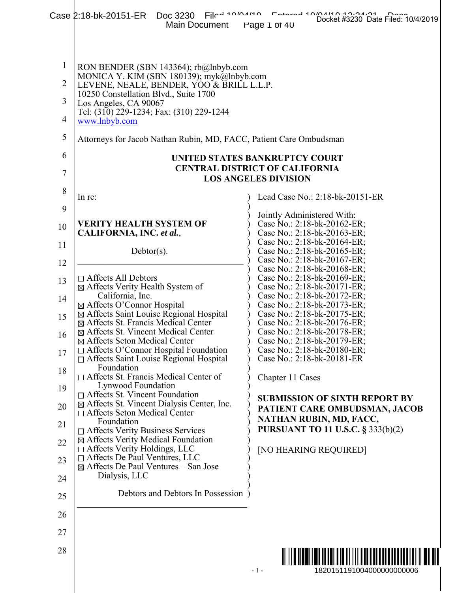|                                | Film 10101110<br>Case 2:18-bk-20151-ER Doc 3230<br>Main Document                                                 | Docket #3230 Date Filed: 10/4/2019<br>Page 1 of 40                                        |
|--------------------------------|------------------------------------------------------------------------------------------------------------------|-------------------------------------------------------------------------------------------|
| $\mathbf{1}$<br>$\overline{2}$ | RON BENDER (SBN 143364); rb@lnbyb.com<br>MONICA Y. KIM (SBN 180139); myk@lnbyb.com                               |                                                                                           |
| 3                              | LEVENE, NEALE, BENDER, YOO & BRILL L.L.P.<br>10250 Constellation Blvd., Suite 1700<br>Los Angeles, CA 90067      |                                                                                           |
| $\overline{4}$                 | Tel: (310) 229-1234; Fax: (310) 229-1244<br>www.lnbyb.com                                                        |                                                                                           |
| 5                              | Attorneys for Jacob Nathan Rubin, MD, FACC, Patient Care Ombudsman                                               |                                                                                           |
| 6                              |                                                                                                                  | UNITED STATES BANKRUPTCY COURT                                                            |
| 7                              |                                                                                                                  | <b>CENTRAL DISTRICT OF CALIFORNIA</b><br><b>LOS ANGELES DIVISION</b>                      |
| 8                              | In re:                                                                                                           | Lead Case No.: 2:18-bk-20151-ER                                                           |
| 9<br>10                        | <b>VERITY HEALTH SYSTEM OF</b>                                                                                   | Jointly Administered With:<br>Case No.: 2:18-bk-20162-ER;                                 |
| 11                             | CALIFORNIA, INC. et al.,                                                                                         | Case No.: 2:18-bk-20163-ER;<br>Case No.: 2:18-bk-20164-ER;                                |
| 12                             | $Dektor(s)$ .                                                                                                    | Case No.: 2:18-bk-20165-ER;<br>Case No.: 2:18-bk-20167-ER;                                |
| 13                             | $\Box$ Affects All Debtors<br>⊠ Affects Verity Health System of                                                  | Case No.: 2:18-bk-20168-ER;<br>Case No.: 2:18-bk-20169-ER;<br>Case No.: 2:18-bk-20171-ER; |
| 14                             | California, Inc.<br>⊠ Affects O'Connor Hospital                                                                  | Case No.: 2:18-bk-20172-ER;<br>Case No.: 2:18-bk-20173-ER;                                |
| 15                             | ⊠ Affects Saint Louise Regional Hospital<br>⊠ Affects St. Francis Medical Center                                 | Case No.: 2:18-bk-20175-ER;<br>Case No.: 2:18-bk-20176-ER;                                |
| 16                             | ⊠ Affects St. Vincent Medical Center<br>⊠ Affects Seton Medical Center                                           | Case No.: 2:18-bk-20178-ER;<br>Case No.: 2:18-bk-20179-ER;                                |
| 17                             | $\Box$ Affects O'Connor Hospital Foundation<br>$\Box$ Affects Saint Louise Regional Hospital                     | Case No.: 2:18-bk-20180-ER;<br>Case No.: 2:18-bk-20181-ER                                 |
| 18                             | Foundation<br>$\Box$ Affects St. Francis Medical Center of<br>Lynwood Foundation                                 | Chapter 11 Cases                                                                          |
| 19<br>20                       | $\Box$ Affects St. Vincent Foundation<br>$\boxtimes$ Affects St. Vincent Dialysis Center, Inc.                   | <b>SUBMISSION OF SIXTH REPORT BY</b>                                                      |
| 21                             | $\Box$ Affects Seton Medical Center<br>Foundation                                                                | PATIENT CARE OMBUDSMAN, JACOB<br>NATHAN RUBIN, MD, FACC,                                  |
| 22                             | $\Box$ Affects Verity Business Services<br>⊠ Affects Verity Medical Foundation<br>□ Affects Verity Holdings, LLC | <b>PURSUANT TO 11 U.S.C. § 333(b)(2)</b>                                                  |
| 23                             | $\Box$ Affects De Paul Ventures, LLC<br>$\boxtimes$ Affects De Paul Ventures – San Jose                          | [NO HEARING REQUIRED]                                                                     |
| 24                             | Dialysis, LLC                                                                                                    |                                                                                           |
| 25                             | Debtors and Debtors In Possession                                                                                |                                                                                           |
| 26                             |                                                                                                                  |                                                                                           |
| 27                             |                                                                                                                  |                                                                                           |
| 28                             |                                                                                                                  |                                                                                           |
|                                |                                                                                                                  | $-1-$<br>1820151191004000000000006                                                        |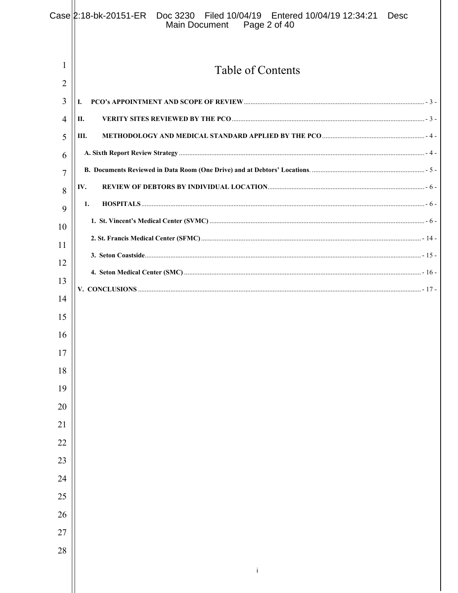|        | Case 2:18-bk-20151-ER Doc 3230 Filed 10/04/19 Entered 10/04/19 12:34:21<br>Desc<br>Page 2 of 40<br>Main Document |
|--------|------------------------------------------------------------------------------------------------------------------|
| 1      |                                                                                                                  |
| 2      | Table of Contents                                                                                                |
| 3      | I.                                                                                                               |
| 4      | П.                                                                                                               |
| 5      | Ш.                                                                                                               |
| 6      |                                                                                                                  |
| 7      |                                                                                                                  |
| 8      | IV.                                                                                                              |
| 9      | $\textbf{HOSPITALS} \dots 56 -$<br>1.                                                                            |
| 10     |                                                                                                                  |
| 11     |                                                                                                                  |
| 12     |                                                                                                                  |
| 13     |                                                                                                                  |
| 14     |                                                                                                                  |
| 15     |                                                                                                                  |
| 16     |                                                                                                                  |
| 17     |                                                                                                                  |
| $18\,$ |                                                                                                                  |
| 19     |                                                                                                                  |
| 20     |                                                                                                                  |
| 21     |                                                                                                                  |
| $22\,$ |                                                                                                                  |
| 23     |                                                                                                                  |
| 24     |                                                                                                                  |
| 25     |                                                                                                                  |
| 26     |                                                                                                                  |
| $27\,$ |                                                                                                                  |
| 28     |                                                                                                                  |
|        | $\rm i$                                                                                                          |
|        |                                                                                                                  |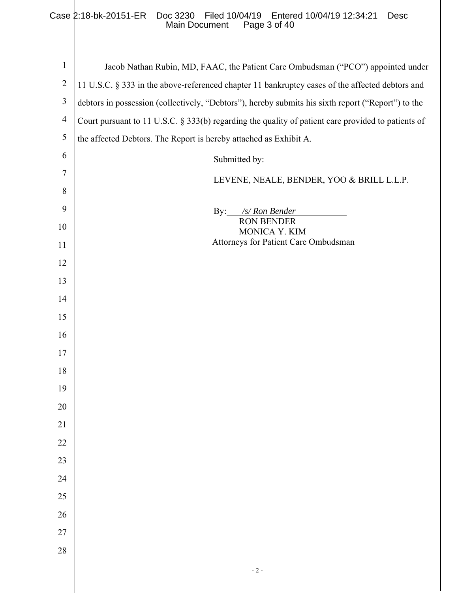# Case 2:18-bk-20151-ER Doc 3230 Filed 10/04/19 Entered 10/04/19 12:34:21 Desc Main Document Page 3 of 40

| $\mathbf{1}$   | Jacob Nathan Rubin, MD, FAAC, the Patient Care Ombudsman ("PCO") appointed under                   |
|----------------|----------------------------------------------------------------------------------------------------|
| $\overline{2}$ | 11 U.S.C. § 333 in the above-referenced chapter 11 bankruptcy cases of the affected debtors and    |
| $\mathfrak{Z}$ | debtors in possession (collectively, "Debtors"), hereby submits his sixth report ("Report") to the |
| $\overline{4}$ | Court pursuant to 11 U.S.C. § 333(b) regarding the quality of patient care provided to patients of |
| 5              | the affected Debtors. The Report is hereby attached as Exhibit A.                                  |
| 6              | Submitted by:                                                                                      |
| 7              | LEVENE, NEALE, BENDER, YOO & BRILL L.L.P.                                                          |
| 8              |                                                                                                    |
| 9              | By: /s/ Ron Bender<br><b>RON BENDER</b>                                                            |
| 10             | MONICA Y. KIM                                                                                      |
| 11             | Attorneys for Patient Care Ombudsman                                                               |
| 12             |                                                                                                    |
| 13             |                                                                                                    |
| 14             |                                                                                                    |
| 15             |                                                                                                    |
| 16             |                                                                                                    |
| 17             |                                                                                                    |
| 18             |                                                                                                    |
| 19             |                                                                                                    |
| $20\,$         |                                                                                                    |
| $21\,$         |                                                                                                    |
| 22             |                                                                                                    |
| 23             |                                                                                                    |
| 24             |                                                                                                    |
| 25             |                                                                                                    |
| 26             |                                                                                                    |
| 27             |                                                                                                    |
| 28             |                                                                                                    |
|                | $\sim 2$ -                                                                                         |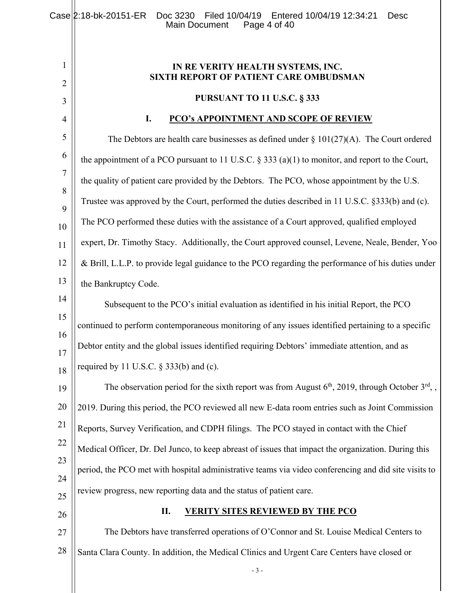- 3 - 1 2 3 4 5 6 7 8 9 10 11 12 13 14 15 16 17 18 19 20 21 22 23 24 25 26 27 28 **IN RE VERITY HEALTH SYSTEMS, INC. SIXTH REPORT OF PATIENT CARE OMBUDSMAN PURSUANT TO 11 U.S.C. § 333 I. PCO's APPOINTMENT AND SCOPE OF REVIEW**  The Debtors are health care businesses as defined under  $\S 101(27)(A)$ . The Court ordered the appointment of a PCO pursuant to 11 U.S.C.  $\S$  333 (a)(1) to monitor, and report to the Court, the quality of patient care provided by the Debtors. The PCO, whose appointment by the U.S. Trustee was approved by the Court, performed the duties described in 11 U.S.C. §333(b) and (c). The PCO performed these duties with the assistance of a Court approved, qualified employed expert, Dr. Timothy Stacy. Additionally, the Court approved counsel, Levene, Neale, Bender, Yoo & Brill, L.L.P. to provide legal guidance to the PCO regarding the performance of his duties under the Bankruptcy Code. Subsequent to the PCO's initial evaluation as identified in his initial Report, the PCO continued to perform contemporaneous monitoring of any issues identified pertaining to a specific Debtor entity and the global issues identified requiring Debtors' immediate attention, and as required by 11 U.S.C.  $\S$  333(b) and (c). The observation period for the sixth report was from August  $6<sup>th</sup>$ , 2019, through October  $3<sup>rd</sup>$ , 2019. During this period, the PCO reviewed all new E-data room entries such as Joint Commission Reports, Survey Verification, and CDPH filings. The PCO stayed in contact with the Chief Medical Officer, Dr. Del Junco, to keep abreast of issues that impact the organization. During this period, the PCO met with hospital administrative teams via video conferencing and did site visits to review progress, new reporting data and the status of patient care. **II. VERITY SITES REVIEWED BY THE PCO**  The Debtors have transferred operations of O'Connor and St. Louise Medical Centers to Santa Clara County. In addition, the Medical Clinics and Urgent Care Centers have closed or Case 2:18-bk-20151-ER Doc 3230 Filed 10/04/19 Entered 10/04/19 12:34:21 Desc<br>Main Document Page 4 of 40 Main Document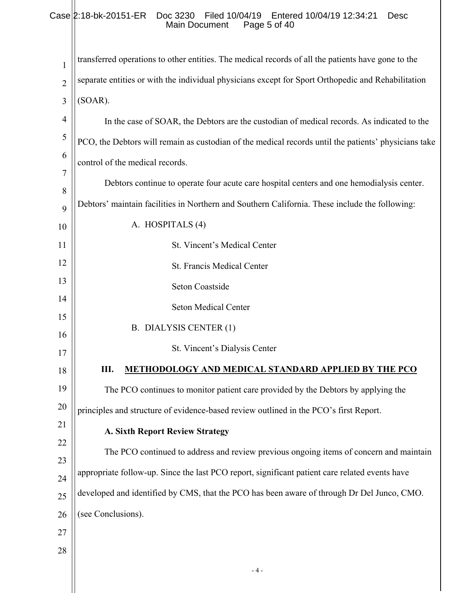# Case 2:18-bk-20151-ER Doc 3230 Filed 10/04/19 Entered 10/04/19 12:34:21 Desc Main Document Page 5 of 40

| 1              | transferred operations to other entities. The medical records of all the patients have gone to the   |
|----------------|------------------------------------------------------------------------------------------------------|
| $\overline{2}$ | separate entities or with the individual physicians except for Sport Orthopedic and Rehabilitation   |
| 3              | (SOAR).                                                                                              |
| $\overline{4}$ | In the case of SOAR, the Debtors are the custodian of medical records. As indicated to the           |
| 5              | PCO, the Debtors will remain as custodian of the medical records until the patients' physicians take |
| 6              | control of the medical records.                                                                      |
| $\overline{7}$ | Debtors continue to operate four acute care hospital centers and one hemodialysis center.            |
| 8<br>9         | Debtors' maintain facilities in Northern and Southern California. These include the following:       |
| 10             | A. HOSPITALS (4)                                                                                     |
| 11             | St. Vincent's Medical Center                                                                         |
| 12             | St. Francis Medical Center                                                                           |
| 13             | Seton Coastside                                                                                      |
| 14             | <b>Seton Medical Center</b>                                                                          |
| 15             | B. DIALYSIS CENTER (1)                                                                               |
| 16             | St. Vincent's Dialysis Center                                                                        |
| 17             |                                                                                                      |
| 18             | Ш.<br><b>METHODOLOGY AND MEDICAL STANDARD APPLIED BY THE PCO</b>                                     |
| 19             | The PCO continues to monitor patient care provided by the Debtors by applying the                    |
| 20             | principles and structure of evidence-based review outlined in the PCO's first Report.                |
| 21             | <b>A. Sixth Report Review Strategy</b>                                                               |
| 22<br>23       | The PCO continued to address and review previous ongoing items of concern and maintain               |
| 24             | appropriate follow-up. Since the last PCO report, significant patient care related events have       |
| 25             | developed and identified by CMS, that the PCO has been aware of through Dr Del Junco, CMO.           |
| 26             | (see Conclusions).                                                                                   |
| 27             |                                                                                                      |
| 28             |                                                                                                      |
|                | - 4 -                                                                                                |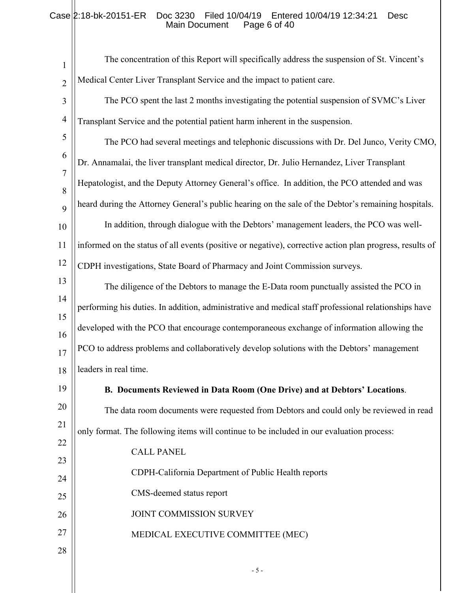# Case 2:18-bk-20151-ER Doc 3230 Filed 10/04/19 Entered 10/04/19 12:34:21 Desc Main Document Page 6 of 40

| $\mathbf{1}$        | The concentration of this Report will specifically address the suspension of St. Vincent's               |
|---------------------|----------------------------------------------------------------------------------------------------------|
| $\overline{2}$      | Medical Center Liver Transplant Service and the impact to patient care.                                  |
| 3                   | The PCO spent the last 2 months investigating the potential suspension of SVMC's Liver                   |
| $\overline{4}$      | Transplant Service and the potential patient harm inherent in the suspension.                            |
| 5                   | The PCO had several meetings and telephonic discussions with Dr. Del Junco, Verity CMO,                  |
| 6                   | Dr. Annamalai, the liver transplant medical director, Dr. Julio Hernandez, Liver Transplant              |
| $\overline{7}$<br>8 | Hepatologist, and the Deputy Attorney General's office. In addition, the PCO attended and was            |
| 9                   | heard during the Attorney General's public hearing on the sale of the Debtor's remaining hospitals.      |
| 10                  | In addition, through dialogue with the Debtors' management leaders, the PCO was well-                    |
| 11                  | informed on the status of all events (positive or negative), corrective action plan progress, results of |
| 12                  | CDPH investigations, State Board of Pharmacy and Joint Commission surveys.                               |
| 13                  | The diligence of the Debtors to manage the E-Data room punctually assisted the PCO in                    |
| 14                  | performing his duties. In addition, administrative and medical staff professional relationships have     |
| 15                  | developed with the PCO that encourage contemporaneous exchange of information allowing the               |
| 16<br>17            | PCO to address problems and collaboratively develop solutions with the Debtors' management               |
| 18                  | leaders in real time.                                                                                    |
| 19                  | B. Documents Reviewed in Data Room (One Drive) and at Debtors' Locations.                                |
| 20                  | The data room documents were requested from Debtors and could only be reviewed in read                   |
| 21                  | only format. The following items will continue to be included in our evaluation process:                 |
| 22                  | <b>CALL PANEL</b>                                                                                        |
| 23                  | CDPH-California Department of Public Health reports                                                      |
| 24                  |                                                                                                          |
| 25                  | CMS-deemed status report                                                                                 |
| 26                  | JOINT COMMISSION SURVEY                                                                                  |
| 27<br>28            | MEDICAL EXECUTIVE COMMITTEE (MEC)                                                                        |
|                     | $-5-$                                                                                                    |
|                     |                                                                                                          |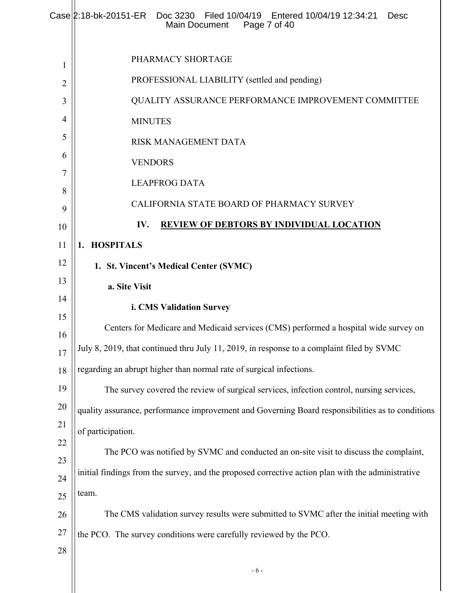|          | Case 2:18-bk-20151-ER Doc 3230  Filed 10/04/19  Entered 10/04/19  12:34:21<br><b>Desc</b><br>Main Document<br>Page 7 of 40 |
|----------|----------------------------------------------------------------------------------------------------------------------------|
| 1        | PHARMACY SHORTAGE                                                                                                          |
| 2        | PROFESSIONAL LIABILITY (settled and pending)                                                                               |
| 3        | QUALITY ASSURANCE PERFORMANCE IMPROVEMENT COMMITTEE                                                                        |
| 4        | <b>MINUTES</b>                                                                                                             |
| 5        | RISK MANAGEMENT DATA                                                                                                       |
| 6        | <b>VENDORS</b>                                                                                                             |
| 7        | <b>LEAPFROG DATA</b>                                                                                                       |
| 8<br>9   | CALIFORNIA STATE BOARD OF PHARMACY SURVEY                                                                                  |
| 10       | IV.<br><b>REVIEW OF DEBTORS BY INDIVIDUAL LOCATION</b>                                                                     |
| 11       | <b>HOSPITALS</b><br>1.                                                                                                     |
| 12       | 1. St. Vincent's Medical Center (SVMC)                                                                                     |
| 13       | a. Site Visit                                                                                                              |
| 14       | i. CMS Validation Survey                                                                                                   |
| 15       | Centers for Medicare and Medicaid services (CMS) performed a hospital wide survey on                                       |
| 16<br>17 | July 8, 2019, that continued thru July 11, 2019, in response to a complaint filed by SVMC                                  |
| 18       | regarding an abrupt higher than normal rate of surgical infections.                                                        |
| 19       | The survey covered the review of surgical services, infection control, nursing services,                                   |
| 20       | quality assurance, performance improvement and Governing Board responsibilities as to conditions                           |
| 21       | of participation.                                                                                                          |
| 22       | The PCO was notified by SVMC and conducted an on-site visit to discuss the complaint,                                      |
| 23       | initial findings from the survey, and the proposed corrective action plan with the administrative                          |
| 24<br>25 | team.                                                                                                                      |
| 26       | The CMS validation survey results were submitted to SVMC after the initial meeting with                                    |
| 27       | the PCO. The survey conditions were carefully reviewed by the PCO.                                                         |
| 28       |                                                                                                                            |
|          | $-6-$                                                                                                                      |
|          |                                                                                                                            |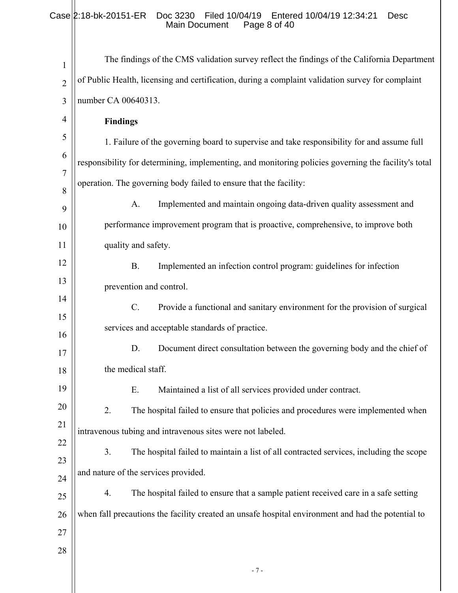# Case 2:18-bk-20151-ER Doc 3230 Filed 10/04/19 Entered 10/04/19 12:34:21 Desc Main Document Page 8 of 40

| 1              | The findings of the CMS validation survey reflect the findings of the California Department          |
|----------------|------------------------------------------------------------------------------------------------------|
| $\overline{2}$ | of Public Health, licensing and certification, during a complaint validation survey for complaint    |
| 3              | number CA 00640313.                                                                                  |
| 4              | <b>Findings</b>                                                                                      |
| 5              | 1. Failure of the governing board to supervise and take responsibility for and assume full           |
| 6              | responsibility for determining, implementing, and monitoring policies governing the facility's total |
| $\overline{7}$ | operation. The governing body failed to ensure that the facility:                                    |
| 8<br>9         | Implemented and maintain ongoing data-driven quality assessment and<br>A.                            |
| 10             | performance improvement program that is proactive, comprehensive, to improve both                    |
| 11             | quality and safety.                                                                                  |
| 12             | Implemented an infection control program: guidelines for infection<br><b>B.</b>                      |
| 13             | prevention and control.                                                                              |
| 14             | C.<br>Provide a functional and sanitary environment for the provision of surgical                    |
| 15             | services and acceptable standards of practice.                                                       |
| 16             | D.<br>Document direct consultation between the governing body and the chief of                       |
| 17             | the medical staff.                                                                                   |
| 18<br>19       |                                                                                                      |
| 20             | Maintained a list of all services provided under contract.<br>Ε.                                     |
| 21             | 2.<br>The hospital failed to ensure that policies and procedures were implemented when               |
| 22             | intravenous tubing and intravenous sites were not labeled.                                           |
| 23             | 3.<br>The hospital failed to maintain a list of all contracted services, including the scope         |
| 24             | and nature of the services provided.                                                                 |
| 25             | The hospital failed to ensure that a sample patient received care in a safe setting<br>4.            |
| 26             | when fall precautions the facility created an unsafe hospital environment and had the potential to   |
| 27             |                                                                                                      |
| 28             |                                                                                                      |
|                | $-7-$                                                                                                |
|                |                                                                                                      |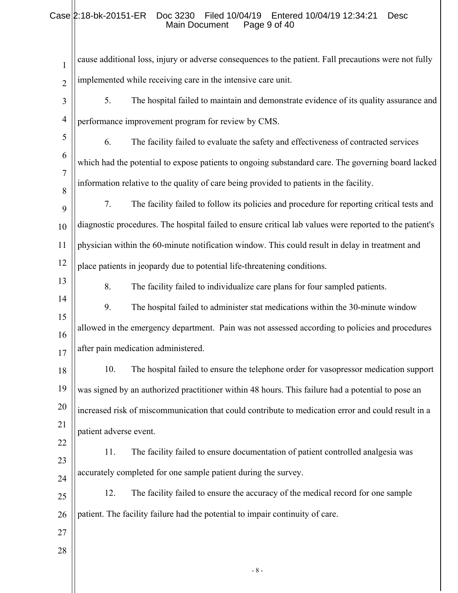# Case 2:18-bk-20151-ER Doc 3230 Filed 10/04/19 Entered 10/04/19 12:34:21 Desc Main Document Page 9 of 40

| $\mathbf{1}$   | cause additional loss, injury or adverse consequences to the patient. Fall precautions were not fully   |
|----------------|---------------------------------------------------------------------------------------------------------|
| $\overline{2}$ | implemented while receiving care in the intensive care unit.                                            |
| 3              | 5.<br>The hospital failed to maintain and demonstrate evidence of its quality assurance and             |
| $\overline{4}$ | performance improvement program for review by CMS.                                                      |
| 5              | 6.<br>The facility failed to evaluate the safety and effectiveness of contracted services               |
| 6              | which had the potential to expose patients to ongoing substandard care. The governing board lacked      |
| $\overline{7}$ | information relative to the quality of care being provided to patients in the facility.                 |
| 8<br>9         | 7.<br>The facility failed to follow its policies and procedure for reporting critical tests and         |
| 10             | diagnostic procedures. The hospital failed to ensure critical lab values were reported to the patient's |
| 11             | physician within the 60-minute notification window. This could result in delay in treatment and         |
| 12             | place patients in jeopardy due to potential life-threatening conditions.                                |
| 13             | 8.<br>The facility failed to individualize care plans for four sampled patients.                        |
| 14             | 9.<br>The hospital failed to administer stat medications within the 30-minute window                    |
| 15             | allowed in the emergency department. Pain was not assessed according to policies and procedures         |
| 16             | after pain medication administered.                                                                     |
| 17<br>18       | The hospital failed to ensure the telephone order for vasopressor medication support<br>10.             |
| 19             | was signed by an authorized practitioner within 48 hours. This failure had a potential to pose an       |
| 20             | increased risk of miscommunication that could contribute to medication error and could result in a      |
| 21             | patient adverse event.                                                                                  |
| 22             | The facility failed to ensure documentation of patient controlled analgesia was<br>11.                  |
| 23             |                                                                                                         |
| 24             | accurately completed for one sample patient during the survey.                                          |
| 25             | 12.<br>The facility failed to ensure the accuracy of the medical record for one sample                  |
| 26             | patient. The facility failure had the potential to impair continuity of care.                           |
| 27<br>28       |                                                                                                         |
|                | $-8-$                                                                                                   |
|                |                                                                                                         |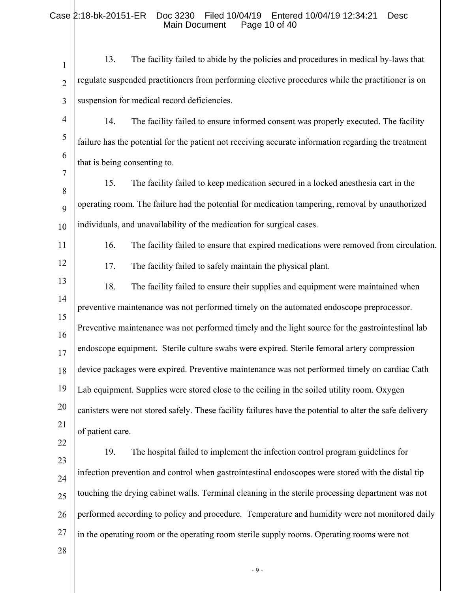# Case 2:18-bk-20151-ER Doc 3230 Filed 10/04/19 Entered 10/04/19 12:34:21 Desc Main Document Page 10 of 40

| $\mathbf{1}$   | 13.                          | The facility failed to abide by the policies and procedures in medical by-laws that                     |
|----------------|------------------------------|---------------------------------------------------------------------------------------------------------|
| $\overline{2}$ |                              | regulate suspended practitioners from performing elective procedures while the practitioner is on       |
| 3              |                              | suspension for medical record deficiencies.                                                             |
| $\overline{4}$ | 14.                          | The facility failed to ensure informed consent was properly executed. The facility                      |
| 5              |                              | failure has the potential for the patient not receiving accurate information regarding the treatment    |
| 6              | that is being consenting to. |                                                                                                         |
| $\overline{7}$ | 15.                          | The facility failed to keep medication secured in a locked anesthesia cart in the                       |
| 8<br>9         |                              | operating room. The failure had the potential for medication tampering, removal by unauthorized         |
| 10             |                              | individuals, and unavailability of the medication for surgical cases.                                   |
| 11             | 16.                          | The facility failed to ensure that expired medications were removed from circulation.                   |
| 12             | 17.                          | The facility failed to safely maintain the physical plant.                                              |
| 13             | 18.                          | The facility failed to ensure their supplies and equipment were maintained when                         |
| 14             |                              | preventive maintenance was not performed timely on the automated endoscope preprocessor.                |
| 15<br>16       |                              | Preventive maintenance was not performed timely and the light source for the gastrointestinal lab       |
| 17             |                              | endoscope equipment. Sterile culture swabs were expired. Sterile femoral artery compression             |
| 18             |                              | device packages were expired. Preventive maintenance was not performed timely on cardiac Cath           |
| 19             |                              | Lab equipment. Supplies were stored close to the ceiling in the soiled utility room. Oxygen             |
| 20             |                              | canisters were not stored safely. These facility failures have the potential to alter the safe delivery |
| 21             | of patient care.             |                                                                                                         |
| 22             | 19.                          | The hospital failed to implement the infection control program guidelines for                           |
| 23             |                              | infection prevention and control when gastrointestinal endoscopes were stored with the distal tip       |
| 24<br>25       |                              | touching the drying cabinet walls. Terminal cleaning in the sterile processing department was not       |
| 26             |                              | performed according to policy and procedure. Temperature and humidity were not monitored daily          |
| 27             |                              | in the operating room or the operating room sterile supply rooms. Operating rooms were not              |
| 28             |                              |                                                                                                         |
|                |                              | $-9-$                                                                                                   |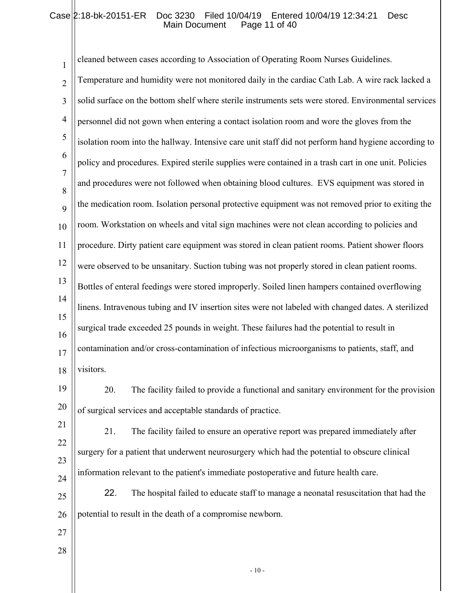# Case 2:18-bk-20151-ER Doc 3230 Filed 10/04/19 Entered 10/04/19 12:34:21 Desc Main Document Page 11 of 40

| cleaned between cases according to Association of Operating Room Nurses Guidelines.                  |
|------------------------------------------------------------------------------------------------------|
| Temperature and humidity were not monitored daily in the cardiac Cath Lab. A wire rack lacked a      |
| solid surface on the bottom shelf where sterile instruments sets were stored. Environmental services |
| personnel did not gown when entering a contact isolation room and wore the gloves from the           |
| isolation room into the hallway. Intensive care unit staff did not perform hand hygiene according to |
| policy and procedures. Expired sterile supplies were contained in a trash cart in one unit. Policies |
| and procedures were not followed when obtaining blood cultures. EVS equipment was stored in          |
| the medication room. Isolation personal protective equipment was not removed prior to exiting the    |
| room. Workstation on wheels and vital sign machines were not clean according to policies and         |
| procedure. Dirty patient care equipment was stored in clean patient rooms. Patient shower floors     |
| were observed to be unsanitary. Suction tubing was not properly stored in clean patient rooms.       |
| Bottles of enteral feedings were stored improperly. Soiled linen hampers contained overflowing       |
| linens. Intravenous tubing and IV insertion sites were not labeled with changed dates. A sterilized  |
| surgical trade exceeded 25 pounds in weight. These failures had the potential to result in           |
| contamination and/or cross-contamination of infectious microorganisms to patients, staff, and        |
| visitors.                                                                                            |
| The facility failed to provide a functional and sanitary environment for the provision<br>20.        |
| of surgical services and acceptable standards of practice.                                           |
| The facility failed to ensure an operative report was prepared immediately after<br>21.              |
| surgery for a patient that underwent neurosurgery which had the potential to obscure clinical        |
| information relevant to the patient's immediate postoperative and future health care.                |
| 22.<br>The hospital failed to educate staff to manage a neonatal resuscitation that had the          |
| potential to result in the death of a compromise newborn.                                            |
|                                                                                                      |
|                                                                                                      |
|                                                                                                      |

- 10 -  $\,$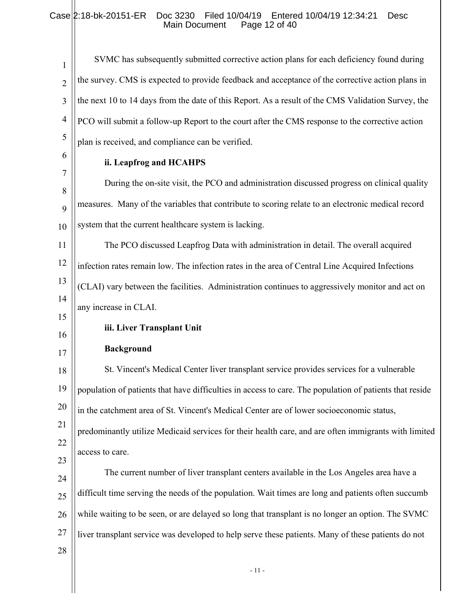# Case 2:18-bk-20151-ER Doc 3230 Filed 10/04/19 Entered 10/04/19 12:34:21 Desc Main Document Page 12 of 40

| $\mathbf{1}$   | SVMC has subsequently submitted corrective action plans for each deficiency found during                |
|----------------|---------------------------------------------------------------------------------------------------------|
| $\overline{2}$ | the survey. CMS is expected to provide feedback and acceptance of the corrective action plans in        |
| 3              | the next 10 to 14 days from the date of this Report. As a result of the CMS Validation Survey, the      |
| $\overline{4}$ | PCO will submit a follow-up Report to the court after the CMS response to the corrective action         |
| 5              | plan is received, and compliance can be verified.                                                       |
| 6              | ii. Leapfrog and HCAHPS                                                                                 |
| 7              | During the on-site visit, the PCO and administration discussed progress on clinical quality             |
| 8<br>9         | measures. Many of the variables that contribute to scoring relate to an electronic medical record       |
| 10             | system that the current healthcare system is lacking.                                                   |
| 11             | The PCO discussed Leapfrog Data with administration in detail. The overall acquired                     |
| 12             | infection rates remain low. The infection rates in the area of Central Line Acquired Infections         |
| 13             | (CLAI) vary between the facilities. Administration continues to aggressively monitor and act on         |
| 14             | any increase in CLAI.                                                                                   |
| 15             | iii. Liver Transplant Unit                                                                              |
| 16<br>17       | <b>Background</b>                                                                                       |
| 18             | St. Vincent's Medical Center liver transplant service provides services for a vulnerable                |
| 19             | population of patients that have difficulties in access to care. The population of patients that reside |
| 20             | in the catchment area of St. Vincent's Medical Center are of lower socioeconomic status,                |
| 21             | predominantly utilize Medicaid services for their health care, and are often immigrants with limited    |
| 22             | access to care.                                                                                         |
| 23             | The current number of liver transplant centers available in the Los Angeles area have a                 |
| 24             | difficult time serving the needs of the population. Wait times are long and patients often succumb      |
| 25<br>26       | while waiting to be seen, or are delayed so long that transplant is no longer an option. The SVMC       |
| 27             | liver transplant service was developed to help serve these patients. Many of these patients do not      |
| 28             |                                                                                                         |
|                | $-11-$                                                                                                  |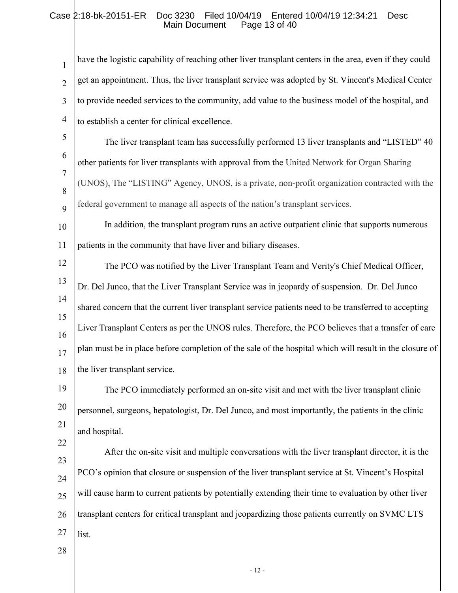# Case 2:18-bk-20151-ER Doc 3230 Filed 10/04/19 Entered 10/04/19 12:34:21 Desc<br>Main Document Page 13 of 40 Main Document

1 2 3 4 have the logistic capability of reaching other liver transplant centers in the area, even if they could get an appointment. Thus, the liver transplant service was adopted by St. Vincent's Medical Center to provide needed services to the community, add value to the business model of the hospital, and to establish a center for clinical excellence.

- 5 6 7 8 9 The liver transplant team has successfully performed 13 liver transplants and "LISTED" 40 other patients for liver transplants with approval from the United Network for Organ Sharing (UNOS), The "LISTING" Agency, UNOS, is a private, non-profit organization contracted with the federal government to manage all aspects of the nation's transplant services.
- 10 11 In addition, the transplant program runs an active outpatient clinic that supports numerous patients in the community that have liver and biliary diseases.
- 12 13 14 15 16 17 18 The PCO was notified by the Liver Transplant Team and Verity's Chief Medical Officer, Dr. Del Junco, that the Liver Transplant Service was in jeopardy of suspension. Dr. Del Junco shared concern that the current liver transplant service patients need to be transferred to accepting Liver Transplant Centers as per the UNOS rules. Therefore, the PCO believes that a transfer of care plan must be in place before completion of the sale of the hospital which will result in the closure of the liver transplant service.

19 20 21 The PCO immediately performed an on-site visit and met with the liver transplant clinic personnel, surgeons, hepatologist, Dr. Del Junco, and most importantly, the patients in the clinic and hospital.

23 24 25 26 27 After the on-site visit and multiple conversations with the liver transplant director, it is the PCO's opinion that closure or suspension of the liver transplant service at St. Vincent's Hospital will cause harm to current patients by potentially extending their time to evaluation by other liver transplant centers for critical transplant and jeopardizing those patients currently on SVMC LTS list.

28

22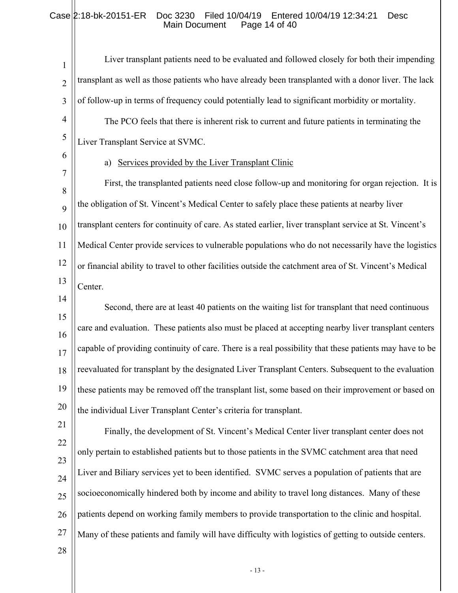# Case 2:18-bk-20151-ER Doc 3230 Filed 10/04/19 Entered 10/04/19 12:34:21 Desc Main Document Page 14 of 40

| $\mathbf{1}$   | Liver transplant patients need to be evaluated and followed closely for both their impending            |
|----------------|---------------------------------------------------------------------------------------------------------|
| $\overline{2}$ | transplant as well as those patients who have already been transplanted with a donor liver. The lack    |
| 3              | of follow-up in terms of frequency could potentially lead to significant morbidity or mortality.        |
| $\overline{4}$ | The PCO feels that there is inherent risk to current and future patients in terminating the             |
| $\mathfrak{S}$ | Liver Transplant Service at SVMC.                                                                       |
| 6              | Services provided by the Liver Transplant Clinic<br>a)                                                  |
| 7<br>8         | First, the transplanted patients need close follow-up and monitoring for organ rejection. It is         |
| 9              | the obligation of St. Vincent's Medical Center to safely place these patients at nearby liver           |
| 10             | transplant centers for continuity of care. As stated earlier, liver transplant service at St. Vincent's |
| 11             | Medical Center provide services to vulnerable populations who do not necessarily have the logistics     |
| 12             | or financial ability to travel to other facilities outside the catchment area of St. Vincent's Medical  |
| 13             | Center.                                                                                                 |
| 14             | Second, there are at least 40 patients on the waiting list for transplant that need continuous          |
| 15<br>16       | care and evaluation. These patients also must be placed at accepting nearby liver transplant centers    |
| 17             | capable of providing continuity of care. There is a real possibility that these patients may have to be |
| 18             | reevaluated for transplant by the designated Liver Transplant Centers. Subsequent to the evaluation     |
| 19             | these patients may be removed off the transplant list, some based on their improvement or based on      |
| 20             | the individual Liver Transplant Center's criteria for transplant.                                       |
| 21             | Finally, the development of St. Vincent's Medical Center liver transplant center does not               |
| 22             | only pertain to established patients but to those patients in the SVMC catchment area that need         |
| 23<br>24       | Liver and Biliary services yet to been identified. SVMC serves a population of patients that are        |
| 25             | socioeconomically hindered both by income and ability to travel long distances. Many of these           |
| 26             | patients depend on working family members to provide transportation to the clinic and hospital.         |
| 27             | Many of these patients and family will have difficulty with logistics of getting to outside centers.    |
| 28             |                                                                                                         |
|                |                                                                                                         |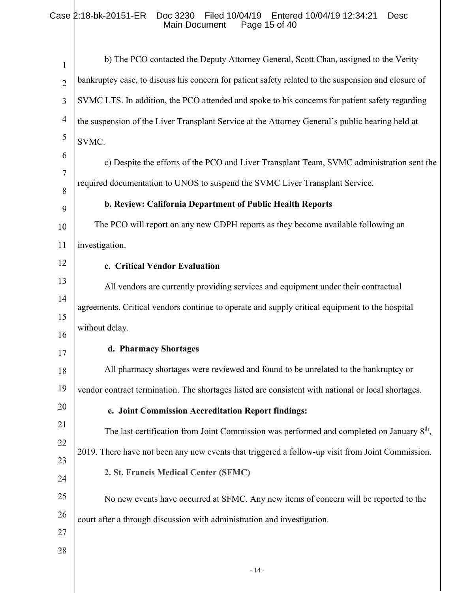# Case 2:18-bk-20151-ER Doc 3230 Filed 10/04/19 Entered 10/04/19 12:34:21 Desc Main Document Page 15 of 40

| $\mathbf{1}$   | b) The PCO contacted the Deputy Attorney General, Scott Chan, assigned to the Verity                |
|----------------|-----------------------------------------------------------------------------------------------------|
| $\overline{2}$ | bankruptcy case, to discuss his concern for patient safety related to the suspension and closure of |
| 3              | SVMC LTS. In addition, the PCO attended and spoke to his concerns for patient safety regarding      |
| $\overline{4}$ | the suspension of the Liver Transplant Service at the Attorney General's public hearing held at     |
| 5              | SVMC.                                                                                               |
| 6              | c) Despite the efforts of the PCO and Liver Transplant Team, SVMC administration sent the           |
| 7              | required documentation to UNOS to suspend the SVMC Liver Transplant Service.                        |
| 8<br>9         | b. Review: California Department of Public Health Reports                                           |
| 10             | The PCO will report on any new CDPH reports as they become available following an                   |
| 11             | investigation.                                                                                      |
| 12             | c. Critical Vendor Evaluation                                                                       |
| 13             | All vendors are currently providing services and equipment under their contractual                  |
| 14             | agreements. Critical vendors continue to operate and supply critical equipment to the hospital      |
| 15             | without delay.                                                                                      |
| 16             | d. Pharmacy Shortages                                                                               |
| 17             | All pharmacy shortages were reviewed and found to be unrelated to the bankruptcy or                 |
| 18             |                                                                                                     |
| 19             | vendor contract termination. The shortages listed are consistent with national or local shortages.  |
| 20             | e. Joint Commission Accreditation Report findings:                                                  |
| 21             | The last certification from Joint Commission was performed and completed on January $8th$ ,         |
| 22             | 2019. There have not been any new events that triggered a follow-up visit from Joint Commission.    |
| 23             | 2. St. Francis Medical Center (SFMC)                                                                |
| 24             |                                                                                                     |
| 25             | No new events have occurred at SFMC. Any new items of concern will be reported to the               |
| 26             | court after a through discussion with administration and investigation.                             |
| 27             |                                                                                                     |
| 28             |                                                                                                     |
|                |                                                                                                     |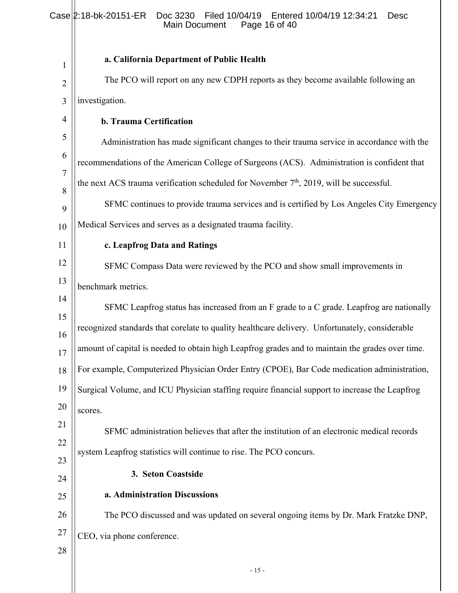# Case 2:18-bk-20151-ER Doc 3230 Filed 10/04/19 Entered 10/04/19 12:34:21 Desc Main Document Page 16 of 40

| 1              | a. California Department of Public Health                                                        |
|----------------|--------------------------------------------------------------------------------------------------|
| $\overline{2}$ | The PCO will report on any new CDPH reports as they become available following an                |
| 3              | investigation.                                                                                   |
| 4              | b. Trauma Certification                                                                          |
| 5              | Administration has made significant changes to their trauma service in accordance with the       |
| 6              | recommendations of the American College of Surgeons (ACS). Administration is confident that      |
| 7<br>8         | the next ACS trauma verification scheduled for November $7th$ , 2019, will be successful.        |
| 9              | SFMC continues to provide trauma services and is certified by Los Angeles City Emergency         |
| 10             | Medical Services and serves as a designated trauma facility.                                     |
| 11             | c. Leapfrog Data and Ratings                                                                     |
| 12             | SFMC Compass Data were reviewed by the PCO and show small improvements in                        |
| 13             | benchmark metrics.                                                                               |
| 14             | SFMC Leapfrog status has increased from an F grade to a C grade. Leapfrog are nationally         |
| 15<br>16       | recognized standards that corelate to quality healthcare delivery. Unfortunately, considerable   |
| 17             | amount of capital is needed to obtain high Leapfrog grades and to maintain the grades over time. |
| 18             | For example, Computerized Physician Order Entry (CPOE), Bar Code medication administration,      |
| 19             | Surgical Volume, and ICU Physician staffing require financial support to increase the Leapfrog   |
| 20             | scores.                                                                                          |
| 21             | SFMC administration believes that after the institution of an electronic medical records         |
| 22             | system Leapfrog statistics will continue to rise. The PCO concurs.                               |
| 23             | 3. Seton Coastside                                                                               |
| 24             | a. Administration Discussions                                                                    |
| 25             |                                                                                                  |
| 26             | The PCO discussed and was updated on several ongoing items by Dr. Mark Fratzke DNP,              |
| 27             | CEO, via phone conference.                                                                       |
| 28             | $-15-$                                                                                           |
|                |                                                                                                  |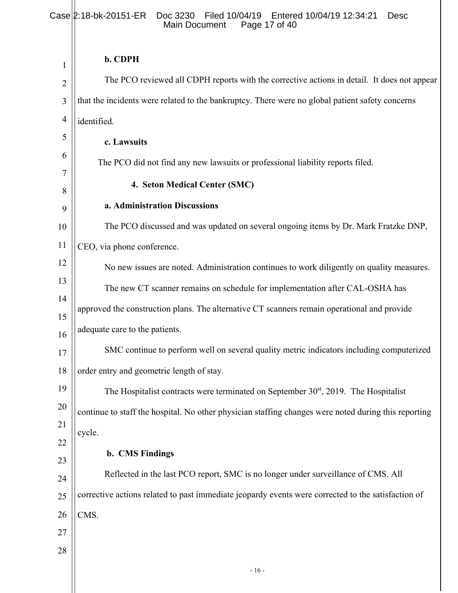# **b. CDPH**

| 1              | $0. U$ rn                                                                                            |
|----------------|------------------------------------------------------------------------------------------------------|
| $\overline{2}$ | The PCO reviewed all CDPH reports with the corrective actions in detail. It does not appear          |
| 3              | that the incidents were related to the bankruptcy. There were no global patient safety concerns      |
| $\overline{4}$ | identified.                                                                                          |
| 5              | c. Lawsuits                                                                                          |
| 6              | The PCO did not find any new lawsuits or professional liability reports filed.                       |
| 7              | 4. Seton Medical Center (SMC)                                                                        |
| 8<br>9         | a. Administration Discussions                                                                        |
| 10             | The PCO discussed and was updated on several ongoing items by Dr. Mark Fratzke DNP,                  |
| 11             | CEO, via phone conference.                                                                           |
| 12             | No new issues are noted. Administration continues to work diligently on quality measures.            |
| 13             | The new CT scanner remains on schedule for implementation after CAL-OSHA has                         |
| 14             | approved the construction plans. The alternative CT scanners remain operational and provide          |
| 15<br>16       | adequate care to the patients.                                                                       |
| 17             | SMC continue to perform well on several quality metric indicators including computerized             |
| 18             | order entry and geometric length of stay.                                                            |
| 19             | The Hospitalist contracts were terminated on September 30 <sup>st</sup> , 2019. The Hospitalist      |
| 20             | continue to staff the hospital. No other physician staffing changes were noted during this reporting |
| 21             | cycle.                                                                                               |
| 22             | <b>b.</b> CMS Findings                                                                               |
| 23<br>24       | Reflected in the last PCO report, SMC is no longer under surveillance of CMS. All                    |
| 25             | corrective actions related to past immediate jeopardy events were corrected to the satisfaction of   |
| 26             | CMS.                                                                                                 |
| 27             |                                                                                                      |
| 28             |                                                                                                      |
|                | $-16-$                                                                                               |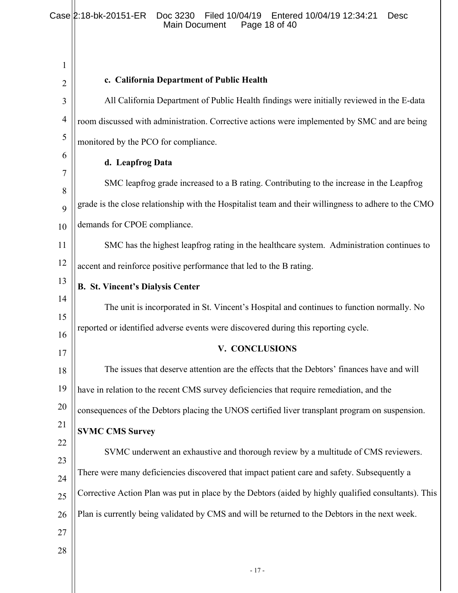### Case 2:18-bk-20151-ER Doc 3230 Filed 10/04/19 Entered 10/04/19 12:34:21 Desc Main Document Page 18 of 40

| $\mathbf{1}$        | c. California Department of Public Health                                                            |
|---------------------|------------------------------------------------------------------------------------------------------|
| $\overline{2}$<br>3 | All California Department of Public Health findings were initially reviewed in the E-data            |
| $\overline{4}$      |                                                                                                      |
| 5                   | room discussed with administration. Corrective actions were implemented by SMC and are being         |
| 6                   | monitored by the PCO for compliance.                                                                 |
| 7                   | d. Leapfrog Data                                                                                     |
| 8                   | SMC leapfrog grade increased to a B rating. Contributing to the increase in the Leapfrog             |
| 9                   | grade is the close relationship with the Hospitalist team and their willingness to adhere to the CMO |
| 10                  | demands for CPOE compliance.                                                                         |
| 11                  | SMC has the highest leapfrog rating in the healthcare system. Administration continues to            |
| 12                  | accent and reinforce positive performance that led to the B rating.                                  |
| 13                  | <b>B. St. Vincent's Dialysis Center</b>                                                              |
| 14                  | The unit is incorporated in St. Vincent's Hospital and continues to function normally. No            |
| 15                  | reported or identified adverse events were discovered during this reporting cycle.                   |
| 16                  | V. CONCLUSIONS                                                                                       |
| 17                  |                                                                                                      |
| 18                  | The issues that deserve attention are the effects that the Debtors' finances have and will           |
| 19                  | have in relation to the recent CMS survey deficiencies that require remediation, and the             |
| 20                  | consequences of the Debtors placing the UNOS certified liver transplant program on suspension.       |
| 21                  | <b>SVMC CMS Survey</b>                                                                               |
| 22                  | SVMC underwent an exhaustive and thorough review by a multitude of CMS reviewers.                    |
| 23                  | There were many deficiencies discovered that impact patient care and safety. Subsequently a          |
| 24<br>25            | Corrective Action Plan was put in place by the Debtors (aided by highly qualified consultants). This |
| 26                  | Plan is currently being validated by CMS and will be returned to the Debtors in the next week.       |
| 27                  |                                                                                                      |
| 28                  |                                                                                                      |
|                     |                                                                                                      |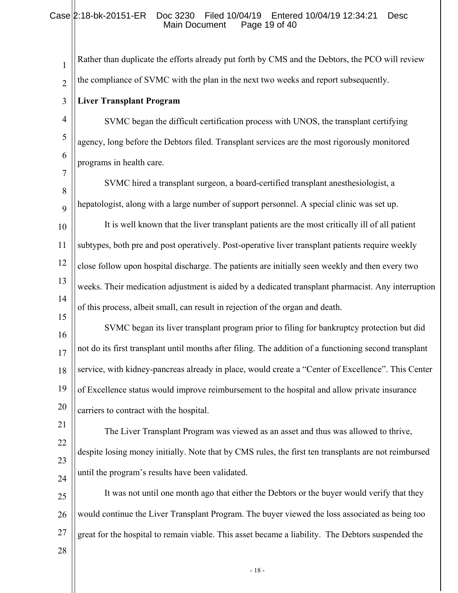1 2 3 4 5 6 7 8 9 10 11 12 13 14 15 16 17 18 19 20 21 22 23 24 25 26 27 28 Rather than duplicate the efforts already put forth by CMS and the Debtors, the PCO will review the compliance of SVMC with the plan in the next two weeks and report subsequently. **Liver Transplant Program**  SVMC began the difficult certification process with UNOS, the transplant certifying agency, long before the Debtors filed. Transplant services are the most rigorously monitored programs in health care. SVMC hired a transplant surgeon, a board-certified transplant anesthesiologist, a hepatologist, along with a large number of support personnel. A special clinic was set up. It is well known that the liver transplant patients are the most critically ill of all patient subtypes, both pre and post operatively. Post-operative liver transplant patients require weekly close follow upon hospital discharge. The patients are initially seen weekly and then every two weeks. Their medication adjustment is aided by a dedicated transplant pharmacist. Any interruption of this process, albeit small, can result in rejection of the organ and death. SVMC began its liver transplant program prior to filing for bankruptcy protection but did not do its first transplant until months after filing. The addition of a functioning second transplant service, with kidney-pancreas already in place, would create a "Center of Excellence". This Center of Excellence status would improve reimbursement to the hospital and allow private insurance carriers to contract with the hospital. The Liver Transplant Program was viewed as an asset and thus was allowed to thrive, despite losing money initially. Note that by CMS rules, the first ten transplants are not reimbursed until the program's results have been validated. It was not until one month ago that either the Debtors or the buyer would verify that they would continue the Liver Transplant Program. The buyer viewed the loss associated as being too great for the hospital to remain viable. This asset became a liability. The Debtors suspended the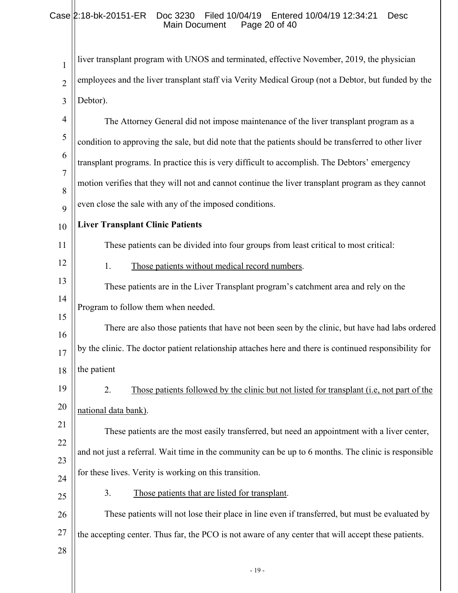# Case 2:18-bk-20151-ER Doc 3230 Filed 10/04/19 Entered 10/04/19 12:34:21 Desc Main Document Page 20 of 40

| 1              | liver transplant program with UNOS and terminated, effective November, 2019, the physician             |
|----------------|--------------------------------------------------------------------------------------------------------|
| $\overline{2}$ | employees and the liver transplant staff via Verity Medical Group (not a Debtor, but funded by the     |
| 3              | Debtor).                                                                                               |
| $\overline{4}$ | The Attorney General did not impose maintenance of the liver transplant program as a                   |
| 5              | condition to approving the sale, but did note that the patients should be transferred to other liver   |
| 6              | transplant programs. In practice this is very difficult to accomplish. The Debtors' emergency          |
| $\overline{7}$ | motion verifies that they will not and cannot continue the liver transplant program as they cannot     |
| 8<br>9         | even close the sale with any of the imposed conditions.                                                |
| 10             | <b>Liver Transplant Clinic Patients</b>                                                                |
| 11             | These patients can be divided into four groups from least critical to most critical:                   |
| 12             | Those patients without medical record numbers.<br>1.                                                   |
| 13             | These patients are in the Liver Transplant program's catchment area and rely on the                    |
| 14             | Program to follow them when needed.                                                                    |
| 15             |                                                                                                        |
| 16             | There are also those patients that have not been seen by the clinic, but have had labs ordered         |
| 17             | by the clinic. The doctor patient relationship attaches here and there is continued responsibility for |
| 18             | the patient                                                                                            |
| 19             | 2.<br>Those patients followed by the clinic but not listed for transplant (i.e., not part of the       |
| 20             | national data bank).                                                                                   |
| 21             | These patients are the most easily transferred, but need an appointment with a liver center,           |
| 22             |                                                                                                        |
| 23             | and not just a referral. Wait time in the community can be up to 6 months. The clinic is responsible   |
| 24             | for these lives. Verity is working on this transition.                                                 |
| 25             | 3.<br>Those patients that are listed for transplant.                                                   |
| 26             | These patients will not lose their place in line even if transferred, but must be evaluated by         |
| 27             | the accepting center. Thus far, the PCO is not aware of any center that will accept these patients.    |
| 28             |                                                                                                        |
|                |                                                                                                        |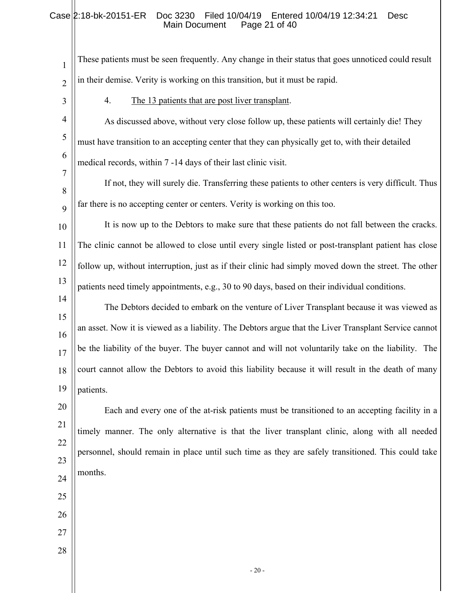# Case 2:18-bk-20151-ER Doc 3230 Filed 10/04/19 Entered 10/04/19 12:34:21 Desc Main Document Page 21 of 40

| $\mathbf{1}$   | These patients must be seen frequently. Any change in their status that goes unnoticed could result   |
|----------------|-------------------------------------------------------------------------------------------------------|
| $\overline{2}$ | in their demise. Verity is working on this transition, but it must be rapid.                          |
| 3              | The 13 patients that are post liver transplant.<br>4.                                                 |
| $\overline{4}$ | As discussed above, without very close follow up, these patients will certainly die! They             |
| 5              | must have transition to an accepting center that they can physically get to, with their detailed      |
| 6              | medical records, within 7 -14 days of their last clinic visit.                                        |
| $\overline{7}$ | If not, they will surely die. Transferring these patients to other centers is very difficult. Thus    |
| 8<br>9         | far there is no accepting center or centers. Verity is working on this too.                           |
| 10             | It is now up to the Debtors to make sure that these patients do not fall between the cracks.          |
| 11             | The clinic cannot be allowed to close until every single listed or post-transplant patient has close  |
| 12             | follow up, without interruption, just as if their clinic had simply moved down the street. The other  |
| 13             | patients need timely appointments, e.g., 30 to 90 days, based on their individual conditions.         |
| 14             | The Debtors decided to embark on the venture of Liver Transplant because it was viewed as             |
| 15             | an asset. Now it is viewed as a liability. The Debtors argue that the Liver Transplant Service cannot |
| 16<br>17       | be the liability of the buyer. The buyer cannot and will not voluntarily take on the liability. The   |
| 18             | court cannot allow the Debtors to avoid this liability because it will result in the death of many    |
| 19             | patients.                                                                                             |
| 20             | Each and every one of the at-risk patients must be transitioned to an accepting facility in a         |
| 21             | timely manner. The only alternative is that the liver transplant clinic, along with all needed        |
| 22             | personnel, should remain in place until such time as they are safely transitioned. This could take    |
| 23             | months.                                                                                               |
| 24             |                                                                                                       |
| 25             |                                                                                                       |
| 26<br>27       |                                                                                                       |
| 28             |                                                                                                       |
|                | $-20-$                                                                                                |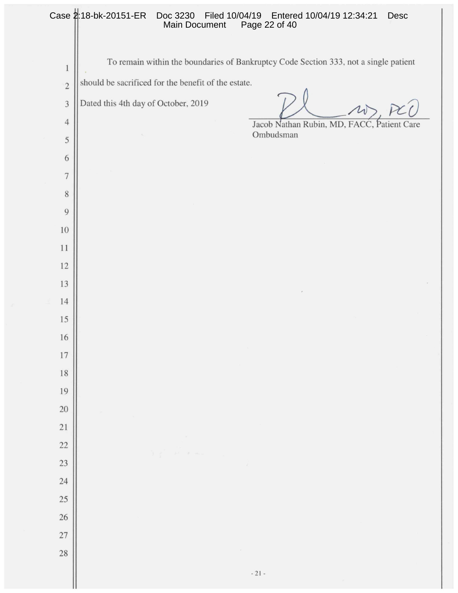|                | Case 2:18-bk-20151-ER<br>Doc 3230<br>Main Document  | Filed 10/04/19    Entered 10/04/19    12:34:21<br>Desc<br>Page 22 of 40              |
|----------------|-----------------------------------------------------|--------------------------------------------------------------------------------------|
| $\mathbf{1}$   |                                                     | To remain within the boundaries of Bankruptcy Code Section 333, not a single patient |
| $\overline{c}$ | should be sacrificed for the benefit of the estate. |                                                                                      |
| $\sqrt{3}$     | Dated this 4th day of October, 2019                 |                                                                                      |
| $\overline{4}$ |                                                     | Jacob Nathan Rubin, MD, FACC, Patient Care                                           |
| 5              |                                                     | Ombudsman                                                                            |
| 6              |                                                     |                                                                                      |
| $\overline{7}$ |                                                     |                                                                                      |
| $\,$ 8 $\,$    |                                                     |                                                                                      |
| $\overline{9}$ |                                                     |                                                                                      |
| 10             |                                                     |                                                                                      |
| 11             |                                                     |                                                                                      |
| 12             |                                                     |                                                                                      |
| 13             |                                                     |                                                                                      |
| 14             |                                                     |                                                                                      |
| 15             |                                                     |                                                                                      |
| 16             |                                                     |                                                                                      |
| 17             |                                                     |                                                                                      |
| 18             |                                                     |                                                                                      |
| 19<br>20       |                                                     |                                                                                      |
| 21             |                                                     |                                                                                      |
| 22             |                                                     |                                                                                      |
| 23             |                                                     | $\vec{r}$                                                                            |
| 24             |                                                     |                                                                                      |
| 25             |                                                     |                                                                                      |
| 26             |                                                     |                                                                                      |
| 27             |                                                     |                                                                                      |
| 28             |                                                     |                                                                                      |
|                |                                                     | $\sim 21$ –                                                                          |

II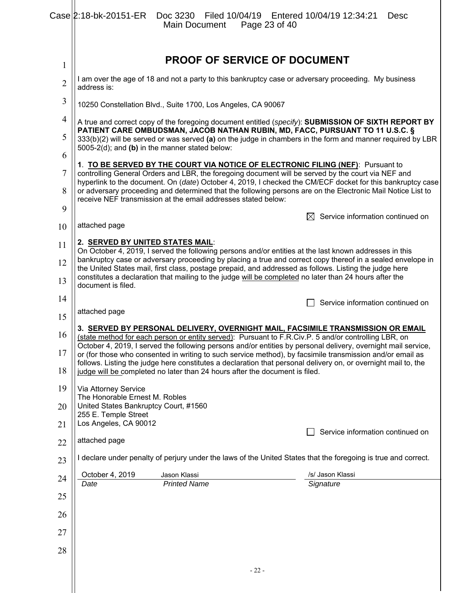|                | Case 2:18-bk-20151-ER Doc 3230 Filed 10/04/19 Entered 10/04/19 12:34:21                                                                                                                                                                                                                                                                                                                          | Main Document                       |        | Page 23 of 40 |                                     | Desc                             |
|----------------|--------------------------------------------------------------------------------------------------------------------------------------------------------------------------------------------------------------------------------------------------------------------------------------------------------------------------------------------------------------------------------------------------|-------------------------------------|--------|---------------|-------------------------------------|----------------------------------|
| 1              |                                                                                                                                                                                                                                                                                                                                                                                                  |                                     |        |               | <b>PROOF OF SERVICE OF DOCUMENT</b> |                                  |
| $\overline{2}$ | I am over the age of 18 and not a party to this bankruptcy case or adversary proceeding. My business<br>address is:                                                                                                                                                                                                                                                                              |                                     |        |               |                                     |                                  |
| 3              | 10250 Constellation Blvd., Suite 1700, Los Angeles, CA 90067                                                                                                                                                                                                                                                                                                                                     |                                     |        |               |                                     |                                  |
| $\overline{4}$ | A true and correct copy of the foregoing document entitled (specify): SUBMISSION OF SIXTH REPORT BY                                                                                                                                                                                                                                                                                              |                                     |        |               |                                     |                                  |
| 5              | PATIENT CARE OMBUDSMAN, JACOB NATHAN RUBIN, MD, FACC, PURSUANT TO 11 U.S.C. §<br>333(b)(2) will be served or was served (a) on the judge in chambers in the form and manner required by LBR<br>5005-2(d); and (b) in the manner stated below:                                                                                                                                                    |                                     |        |               |                                     |                                  |
| 6              | 1. TO BE SERVED BY THE COURT VIA NOTICE OF ELECTRONIC FILING (NEF): Pursuant to                                                                                                                                                                                                                                                                                                                  |                                     |        |               |                                     |                                  |
| 7<br>8         | controlling General Orders and LBR, the foregoing document will be served by the court via NEF and<br>hyperlink to the document. On (date) October 4, 2019, I checked the CM/ECF docket for this bankruptcy case<br>or adversary proceeding and determined that the following persons are on the Electronic Mail Notice List to<br>receive NEF transmission at the email addresses stated below: |                                     |        |               |                                     |                                  |
| 9              |                                                                                                                                                                                                                                                                                                                                                                                                  |                                     |        |               | ⊠                                   | Service information continued on |
| 10             | attached page                                                                                                                                                                                                                                                                                                                                                                                    |                                     |        |               |                                     |                                  |
| 11             | 2. SERVED BY UNITED STATES MAIL:<br>On October 4, 2019, I served the following persons and/or entities at the last known addresses in this                                                                                                                                                                                                                                                       |                                     |        |               |                                     |                                  |
| 12             | bankruptcy case or adversary proceeding by placing a true and correct copy thereof in a sealed envelope in<br>the United States mail, first class, postage prepaid, and addressed as follows. Listing the judge here                                                                                                                                                                             |                                     |        |               |                                     |                                  |
| 13             | constitutes a declaration that mailing to the judge will be completed no later than 24 hours after the<br>document is filed.                                                                                                                                                                                                                                                                     |                                     |        |               |                                     |                                  |
| 14             |                                                                                                                                                                                                                                                                                                                                                                                                  |                                     |        |               |                                     | Service information continued on |
| 15             | attached page                                                                                                                                                                                                                                                                                                                                                                                    |                                     |        |               |                                     |                                  |
| 16             | 3. SERVED BY PERSONAL DELIVERY, OVERNIGHT MAIL, FACSIMILE TRANSMISSION OR EMAIL<br>(state method for each person or entity served): Pursuant to F.R.Civ.P. 5 and/or controlling LBR, on                                                                                                                                                                                                          |                                     |        |               |                                     |                                  |
| 17             | October 4, 2019, I served the following persons and/or entities by personal delivery, overnight mail service,<br>or (for those who consented in writing to such service method), by facsimile transmission and/or email as<br>follows. Listing the judge here constitutes a declaration that personal delivery on, or overnight mail to, the                                                     |                                     |        |               |                                     |                                  |
| 18             | judge will be completed no later than 24 hours after the document is filed.                                                                                                                                                                                                                                                                                                                      |                                     |        |               |                                     |                                  |
| 19             | Via Attorney Service<br>The Honorable Ernest M. Robles                                                                                                                                                                                                                                                                                                                                           |                                     |        |               |                                     |                                  |
| 20             | United States Bankruptcy Court, #1560<br>255 E. Temple Street                                                                                                                                                                                                                                                                                                                                    |                                     |        |               |                                     |                                  |
| 21             | Los Angeles, CA 90012                                                                                                                                                                                                                                                                                                                                                                            |                                     |        |               |                                     | Service information continued on |
| 22             | attached page                                                                                                                                                                                                                                                                                                                                                                                    |                                     |        |               |                                     |                                  |
| 23             | I declare under penalty of perjury under the laws of the United States that the foregoing is true and correct.                                                                                                                                                                                                                                                                                   |                                     |        |               |                                     |                                  |
| 24             | October 4, 2019<br>Date                                                                                                                                                                                                                                                                                                                                                                          | Jason Klassi<br><b>Printed Name</b> |        |               | /s/ Jason Klassi<br>Signature       |                                  |
| 25             |                                                                                                                                                                                                                                                                                                                                                                                                  |                                     |        |               |                                     |                                  |
| 26             |                                                                                                                                                                                                                                                                                                                                                                                                  |                                     |        |               |                                     |                                  |
| 27             |                                                                                                                                                                                                                                                                                                                                                                                                  |                                     |        |               |                                     |                                  |
| 28             |                                                                                                                                                                                                                                                                                                                                                                                                  |                                     |        |               |                                     |                                  |
|                |                                                                                                                                                                                                                                                                                                                                                                                                  |                                     | $-22-$ |               |                                     |                                  |

 $\parallel$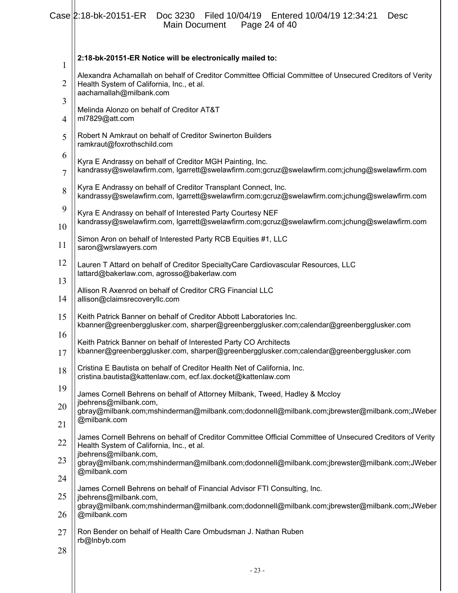|          | Case 2:18-bk-20151-ER<br>Doc 3230 Filed 10/04/19 Entered 10/04/19 12:34:21<br>Desc<br>Page 24 of 40<br>Main Document                                            |  |  |
|----------|-----------------------------------------------------------------------------------------------------------------------------------------------------------------|--|--|
|          | 2:18-bk-20151-ER Notice will be electronically mailed to:                                                                                                       |  |  |
| 1        | Alexandra Achamallah on behalf of Creditor Committee Official Committee of Unsecured Creditors of Verity                                                        |  |  |
| 2        | Health System of California, Inc., et al.<br>aachamallah@milbank.com                                                                                            |  |  |
| 3<br>4   | Melinda Alonzo on behalf of Creditor AT&T<br>ml7829@att.com                                                                                                     |  |  |
| 5        | Robert N Amkraut on behalf of Creditor Swinerton Builders<br>ramkraut@foxrothschild.com                                                                         |  |  |
| 6<br>7   | Kyra E Andrassy on behalf of Creditor MGH Painting, Inc.<br>kandrassy@swelawfirm.com, lgarrett@swelawfirm.com;gcruz@swelawfirm.com;jchung@swelawfirm.com        |  |  |
| 8        | Kyra E Andrassy on behalf of Creditor Transplant Connect, Inc.<br>kandrassy@swelawfirm.com, lgarrett@swelawfirm.com;gcruz@swelawfirm.com;jchung@swelawfirm.com  |  |  |
| 9<br>10  | Kyra E Andrassy on behalf of Interested Party Courtesy NEF<br>kandrassy@swelawfirm.com, lgarrett@swelawfirm.com;gcruz@swelawfirm.com;jchung@swelawfirm.com      |  |  |
| 11       | Simon Aron on behalf of Interested Party RCB Equities #1, LLC<br>saron@wrslawyers.com                                                                           |  |  |
| 12       | Lauren T Attard on behalf of Creditor SpecialtyCare Cardiovascular Resources, LLC                                                                               |  |  |
| 13       | lattard@bakerlaw.com, agrosso@bakerlaw.com<br>Allison R Axenrod on behalf of Creditor CRG Financial LLC                                                         |  |  |
| 14       | allison@claimsrecoveryllc.com                                                                                                                                   |  |  |
| 15       | Keith Patrick Banner on behalf of Creditor Abbott Laboratories Inc.<br>kbanner@greenbergglusker.com, sharper@greenbergglusker.com;calendar@greenbergglusker.com |  |  |
| 16<br>17 | Keith Patrick Banner on behalf of Interested Party CO Architects<br>kbanner@greenbergglusker.com, sharper@greenbergglusker.com;calendar@greenbergglusker.com    |  |  |
| 18       | Cristina E Bautista on behalf of Creditor Health Net of California, Inc.<br>cristina.bautista@kattenlaw.com, ecf.lax.docket@kattenlaw.com                       |  |  |
| 19       | James Cornell Behrens on behalf of Attorney Milbank, Tweed, Hadley & Mccloy                                                                                     |  |  |
| 20<br>21 | jbehrens@milbank.com,<br>gbray@milbank.com;mshinderman@milbank.com;dodonnell@milbank.com;jbrewster@milbank.com;JWeber<br>@milbank.com                           |  |  |
| 22       | James Cornell Behrens on behalf of Creditor Committee Official Committee of Unsecured Creditors of Verity<br>Health System of California, Inc., et al.          |  |  |
| 23       | jbehrens@milbank.com,<br>gbray@milbank.com;mshinderman@milbank.com;dodonnell@milbank.com;jbrewster@milbank.com;JWeber                                           |  |  |
| 24       | @milbank.com                                                                                                                                                    |  |  |
| 25       | James Cornell Behrens on behalf of Financial Advisor FTI Consulting, Inc.<br>jbehrens@milbank.com,                                                              |  |  |
| 26       | gbray@milbank.com;mshinderman@milbank.com;dodonnell@milbank.com;jbrewster@milbank.com;JWeber<br>@milbank.com                                                    |  |  |
| 27       | Ron Bender on behalf of Health Care Ombudsman J. Nathan Ruben<br>rb@Inbyb.com                                                                                   |  |  |
| 28       |                                                                                                                                                                 |  |  |
|          | $-23-$                                                                                                                                                          |  |  |
|          |                                                                                                                                                                 |  |  |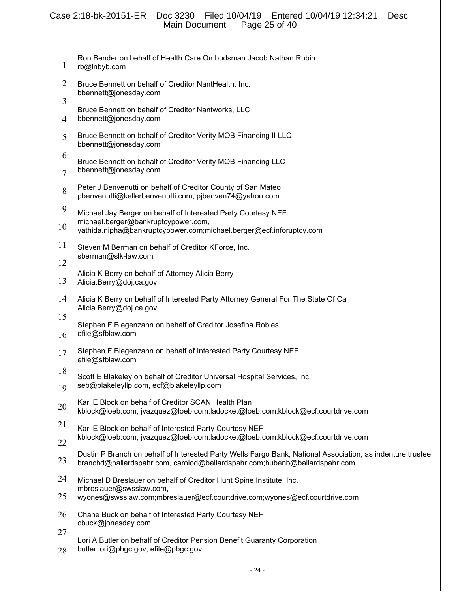#### 1 2 3 4 5 6 7 8 9 10 11 12 13 14 15 16 17 18 19 20 21 22 23 24 25 26 27 28 Ron Bender on behalf of Health Care Ombudsman Jacob Nathan Rubin rb@lnbyb.com Bruce Bennett on behalf of Creditor NantHealth, Inc. bbennett@jonesday.com Bruce Bennett on behalf of Creditor Nantworks, LLC bbennett@jonesday.com Bruce Bennett on behalf of Creditor Verity MOB Financing II LLC bbennett@jonesday.com Bruce Bennett on behalf of Creditor Verity MOB Financing LLC bbennett@jonesday.com Peter J Benvenutti on behalf of Creditor County of San Mateo pbenvenutti@kellerbenvenutti.com, pjbenven74@yahoo.com Michael Jay Berger on behalf of Interested Party Courtesy NEF michael.berger@bankruptcypower.com, yathida.nipha@bankruptcypower.com;michael.berger@ecf.inforuptcy.com Steven M Berman on behalf of Creditor KForce, Inc. sberman@slk-law.com Alicia K Berry on behalf of Attorney Alicia Berry Alicia.Berry@doj.ca.gov Alicia K Berry on behalf of Interested Party Attorney General For The State Of Ca Alicia.Berry@doj.ca.gov Stephen F Biegenzahn on behalf of Creditor Josefina Robles efile@sfblaw.com Stephen F Biegenzahn on behalf of Interested Party Courtesy NEF efile@sfblaw.com Scott E Blakeley on behalf of Creditor Universal Hospital Services, Inc. seb@blakeleyllp.com, ecf@blakeleyllp.com Karl E Block on behalf of Creditor SCAN Health Plan kblock@loeb.com, jvazquez@loeb.com;ladocket@loeb.com;kblock@ecf.courtdrive.com Karl E Block on behalf of Interested Party Courtesy NEF kblock@loeb.com, jvazquez@loeb.com;ladocket@loeb.com;kblock@ecf.courtdrive.com Dustin P Branch on behalf of Interested Party Wells Fargo Bank, National Association, as indenture trustee branchd@ballardspahr.com, carolod@ballardspahr.com;hubenb@ballardspahr.com Michael D Breslauer on behalf of Creditor Hunt Spine Institute, Inc. mbreslauer@swsslaw.com, wyones@swsslaw.com;mbreslauer@ecf.courtdrive.com;wyones@ecf.courtdrive.com Chane Buck on behalf of Interested Party Courtesy NEF cbuck@jonesday.com Lori A Butler on behalf of Creditor Pension Benefit Guaranty Corporation butler.lori@pbgc.gov, efile@pbgc.gov Case 2:18-bk-20151-ER Doc 3230 Filed 10/04/19 Entered 10/04/19 12:34:21 Desc<br>Main Document Page 25 of 40 Main Document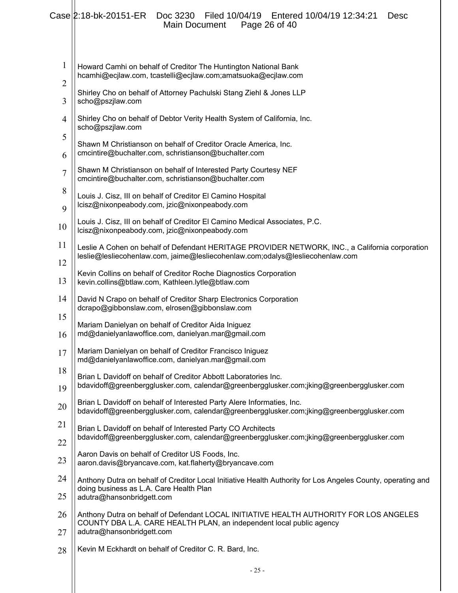|                     | Case 2:18-bk-20151-ER<br>Filed 10/04/19   Entered 10/04/19   12:34:21<br>Doc 3230<br>Desc<br>Page 26 of 40<br><b>Main Document</b>                                                          |
|---------------------|---------------------------------------------------------------------------------------------------------------------------------------------------------------------------------------------|
| $\mathbf{1}$        | Howard Camhi on behalf of Creditor The Huntington National Bank<br>hcamhi@ecjlaw.com, tcastelli@ecjlaw.com;amatsuoka@ecjlaw.com                                                             |
| $\overline{2}$<br>3 | Shirley Cho on behalf of Attorney Pachulski Stang Ziehl & Jones LLP<br>scho@pszjlaw.com                                                                                                     |
| $\overline{4}$      | Shirley Cho on behalf of Debtor Verity Health System of California, Inc.<br>scho@pszjlaw.com                                                                                                |
| 5<br>6              | Shawn M Christianson on behalf of Creditor Oracle America, Inc.<br>cmcintire@buchalter.com, schristianson@buchalter.com                                                                     |
| $\overline{7}$      | Shawn M Christianson on behalf of Interested Party Courtesy NEF<br>cmcintire@buchalter.com, schristianson@buchalter.com                                                                     |
| 8<br>9              | Louis J. Cisz, III on behalf of Creditor El Camino Hospital<br>lcisz@nixonpeabody.com, jzic@nixonpeabody.com                                                                                |
| 10                  | Louis J. Cisz, III on behalf of Creditor El Camino Medical Associates, P.C.<br>lcisz@nixonpeabody.com, jzic@nixonpeabody.com                                                                |
| 11                  | Leslie A Cohen on behalf of Defendant HERITAGE PROVIDER NETWORK, INC., a California corporation<br>leslie@lesliecohenlaw.com, jaime@lesliecohenlaw.com;odalys@lesliecohenlaw.com            |
| 12<br>13            | Kevin Collins on behalf of Creditor Roche Diagnostics Corporation                                                                                                                           |
| 14                  | kevin.collins@btlaw.com, Kathleen.lytle@btlaw.com<br>David N Crapo on behalf of Creditor Sharp Electronics Corporation                                                                      |
| 15                  | dcrapo@gibbonslaw.com, elrosen@gibbonslaw.com<br>Mariam Danielyan on behalf of Creditor Aida Iniguez                                                                                        |
| 16                  | md@danielyanlawoffice.com, danielyan.mar@gmail.com                                                                                                                                          |
| 17<br>18            | Mariam Danielyan on behalf of Creditor Francisco Iniguez<br>md@danielyanlawoffice.com, danielyan.mar@gmail.com                                                                              |
| 19                  | Brian L Davidoff on behalf of Creditor Abbott Laboratories Inc.<br>bdavidoff@greenbergglusker.com, calendar@greenbergglusker.com;jking@greenbergglusker.com                                 |
| 20                  | Brian L Davidoff on behalf of Interested Party Alere Informaties, Inc.<br>bdavidoff@greenbergglusker.com, calendar@greenbergglusker.com;jking@greenbergglusker.com                          |
| 21                  | Brian L Davidoff on behalf of Interested Party CO Architects<br>bdavidoff@greenbergglusker.com, calendar@greenbergglusker.com;jking@greenbergglusker.com                                    |
| 22<br>23            | Aaron Davis on behalf of Creditor US Foods, Inc.<br>aaron.davis@bryancave.com, kat.flaherty@bryancave.com                                                                                   |
| 24                  | Anthony Dutra on behalf of Creditor Local Initiative Health Authority for Los Angeles County, operating and                                                                                 |
| 25                  | doing business as L.A. Care Health Plan<br>adutra@hansonbridgett.com                                                                                                                        |
| 26<br>27            | Anthony Dutra on behalf of Defendant LOCAL INITIATIVE HEALTH AUTHORITY FOR LOS ANGELES<br>COUNTY DBA L.A. CARE HEALTH PLAN, an independent local public agency<br>adutra@hansonbridgett.com |
| 28                  | Kevin M Eckhardt on behalf of Creditor C. R. Bard, Inc.                                                                                                                                     |
|                     |                                                                                                                                                                                             |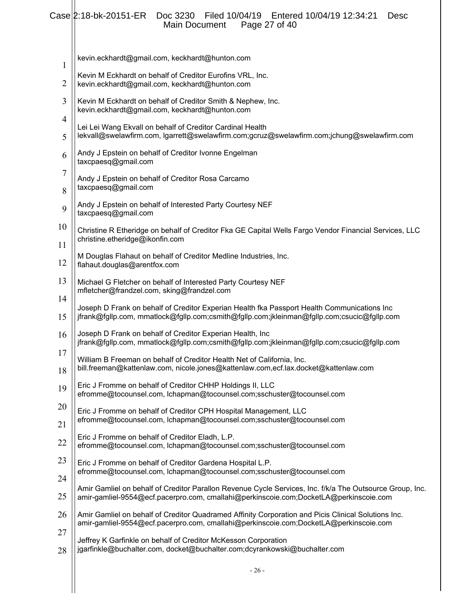# Case 2:18-bk-20151-ER Doc 3230 Filed 10/04/19 Entered 10/04/19 12:34:21 Desc Main Document Page 27 of 40

| $\mathbf{1}$   | kevin.eckhardt@gmail.com, keckhardt@hunton.com                                                                                                                                                    |
|----------------|---------------------------------------------------------------------------------------------------------------------------------------------------------------------------------------------------|
| $\overline{2}$ | Kevin M Eckhardt on behalf of Creditor Eurofins VRL, Inc.<br>kevin.eckhardt@gmail.com, keckhardt@hunton.com                                                                                       |
| 3              | Kevin M Eckhardt on behalf of Creditor Smith & Nephew, Inc.<br>kevin.eckhardt@gmail.com, keckhardt@hunton.com                                                                                     |
| 4<br>5         | Lei Lei Wang Ekvall on behalf of Creditor Cardinal Health<br>lekvall@swelawfirm.com, lgarrett@swelawfirm.com;gcruz@swelawfirm.com;jchung@swelawfirm.com                                           |
| 6              | Andy J Epstein on behalf of Creditor Ivonne Engelman<br>taxcpaesq@gmail.com                                                                                                                       |
| 7<br>8         | Andy J Epstein on behalf of Creditor Rosa Carcamo<br>taxcpaesq@gmail.com                                                                                                                          |
| 9              | Andy J Epstein on behalf of Interested Party Courtesy NEF<br>taxcpaesq@gmail.com                                                                                                                  |
| 10<br>11       | Christine R Etheridge on behalf of Creditor Fka GE Capital Wells Fargo Vendor Financial Services, LLC<br>christine.etheridge@ikonfin.com                                                          |
| 12             | M Douglas Flahaut on behalf of Creditor Medline Industries, Inc.<br>flahaut.douglas@arentfox.com                                                                                                  |
| 13             | Michael G Fletcher on behalf of Interested Party Courtesy NEF<br>mfletcher@frandzel.com, sking@frandzel.com                                                                                       |
| 14<br>15       | Joseph D Frank on behalf of Creditor Experian Health fka Passport Health Communications Inc<br>jfrank@fgllp.com, mmatlock@fgllp.com;csmith@fgllp.com;jkleinman@fgllp.com;csucic@fgllp.com         |
| 16             | Joseph D Frank on behalf of Creditor Experian Health, Inc<br>jfrank@fgllp.com, mmatlock@fgllp.com;csmith@fgllp.com;jkleinman@fgllp.com;csucic@fgllp.com                                           |
| 17<br>18       | William B Freeman on behalf of Creditor Health Net of California, Inc.<br>bill.freeman@kattenlaw.com, nicole.jones@kattenlaw.com,ecf.lax.docket@kattenlaw.com                                     |
| 19             | Eric J Fromme on behalf of Creditor CHHP Holdings II, LLC<br>efromme@tocounsel.com, lchapman@tocounsel.com;sschuster@tocounsel.com                                                                |
| 20             | Eric J Fromme on behalf of Creditor CPH Hospital Management, LLC<br>efromme@tocounsel.com, lchapman@tocounsel.com;sschuster@tocounsel.com                                                         |
| 21<br>22       | Eric J Fromme on behalf of Creditor Eladh, L.P.<br>efromme@tocounsel.com, lchapman@tocounsel.com;sschuster@tocounsel.com                                                                          |
| 23             | Eric J Fromme on behalf of Creditor Gardena Hospital L.P.<br>efromme@tocounsel.com, lchapman@tocounsel.com;sschuster@tocounsel.com                                                                |
| 24<br>25       | Amir Gamliel on behalf of Creditor Parallon Revenue Cycle Services, Inc. f/k/a The Outsource Group, Inc.<br>amir-gamliel-9554@ecf.pacerpro.com, cmallahi@perkinscoie.com;DocketLA@perkinscoie.com |
| 26             | Amir Gamliel on behalf of Creditor Quadramed Affinity Corporation and Picis Clinical Solutions Inc.<br>amir-gamliel-9554@ecf.pacerpro.com, cmallahi@perkinscoie.com;DocketLA@perkinscoie.com      |
| 27<br>28       | Jeffrey K Garfinkle on behalf of Creditor McKesson Corporation<br>jgarfinkle@buchalter.com, docket@buchalter.com;dcyrankowski@buchalter.com                                                       |
|                |                                                                                                                                                                                                   |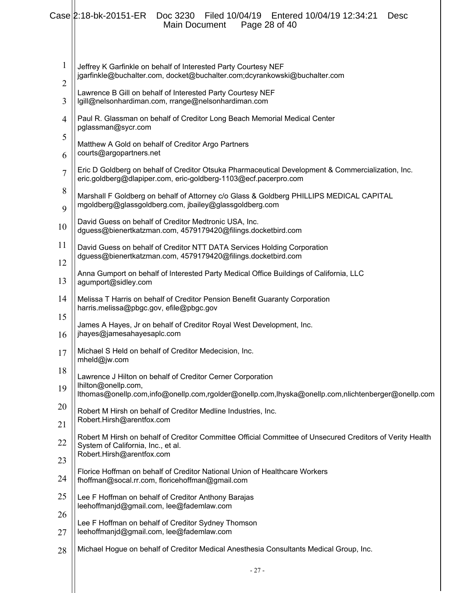|                                | Case 2:18-bk-20151-ER<br>Filed 10/04/19   Entered 10/04/19   12:34:21<br>Doc 3230<br><b>Desc</b><br>Main Document<br>Page 28 of 40                                           |
|--------------------------------|------------------------------------------------------------------------------------------------------------------------------------------------------------------------------|
| $\mathbf{1}$<br>$\overline{2}$ | Jeffrey K Garfinkle on behalf of Interested Party Courtesy NEF<br>jgarfinkle@buchalter.com, docket@buchalter.com;dcyrankowski@buchalter.com                                  |
| 3                              | Lawrence B Gill on behalf of Interested Party Courtesy NEF<br>lgill@nelsonhardiman.com, rrange@nelsonhardiman.com                                                            |
| $\overline{\mathcal{A}}$       | Paul R. Glassman on behalf of Creditor Long Beach Memorial Medical Center<br>pglassman@sycr.com                                                                              |
| 5<br>6                         | Matthew A Gold on behalf of Creditor Argo Partners<br>courts@argopartners.net                                                                                                |
| 7                              | Eric D Goldberg on behalf of Creditor Otsuka Pharmaceutical Development & Commercialization, Inc.                                                                            |
| 8                              | eric.goldberg@dlapiper.com, eric-goldberg-1103@ecf.pacerpro.com                                                                                                              |
| 9                              | Marshall F Goldberg on behalf of Attorney c/o Glass & Goldberg PHILLIPS MEDICAL CAPITAL<br>mgoldberg@glassgoldberg.com, jbailey@glassgoldberg.com                            |
| 10                             | David Guess on behalf of Creditor Medtronic USA, Inc.<br>dguess@bienertkatzman.com, 4579179420@filings.docketbird.com                                                        |
| 11                             | David Guess on behalf of Creditor NTT DATA Services Holding Corporation                                                                                                      |
| 12                             | dguess@bienertkatzman.com, 4579179420@filings.docketbird.com                                                                                                                 |
| 13                             | Anna Gumport on behalf of Interested Party Medical Office Buildings of California, LLC<br>agumport@sidley.com                                                                |
| 14                             | Melissa T Harris on behalf of Creditor Pension Benefit Guaranty Corporation<br>harris.melissa@pbgc.gov, efile@pbgc.gov                                                       |
| 15<br>16                       | James A Hayes, Jr on behalf of Creditor Royal West Development, Inc.<br>jhayes@jamesahayesaplc.com                                                                           |
| 17                             | Michael S Held on behalf of Creditor Medecision, Inc.<br>mheld@jw.com                                                                                                        |
| 18                             | Lawrence J Hilton on behalf of Creditor Cerner Corporation                                                                                                                   |
| 19                             | lhilton@onellp.com,<br>lthomas@onellp.com,info@onellp.com,rgolder@onellp.com,lhyska@onellp.com,nlichtenberger@onellp.com                                                     |
| 20                             | Robert M Hirsh on behalf of Creditor Medline Industries, Inc.                                                                                                                |
| 21                             | Robert.Hirsh@arentfox.com                                                                                                                                                    |
| 22                             | Robert M Hirsh on behalf of Creditor Committee Official Committee of Unsecured Creditors of Verity Health<br>System of California, Inc., et al.<br>Robert.Hirsh@arentfox.com |
| 23                             | Florice Hoffman on behalf of Creditor National Union of Healthcare Workers                                                                                                   |
| 24                             | fhoffman@socal.rr.com, floricehoffman@gmail.com                                                                                                                              |
| 25                             | Lee F Hoffman on behalf of Creditor Anthony Barajas<br>leehoffmanjd@gmail.com, lee@fademlaw.com                                                                              |
| 26<br>27                       | Lee F Hoffman on behalf of Creditor Sydney Thomson<br>leehoffmanjd@gmail.com, lee@fademlaw.com                                                                               |
| 28                             | Michael Hogue on behalf of Creditor Medical Anesthesia Consultants Medical Group, Inc.                                                                                       |
|                                | $-27-$                                                                                                                                                                       |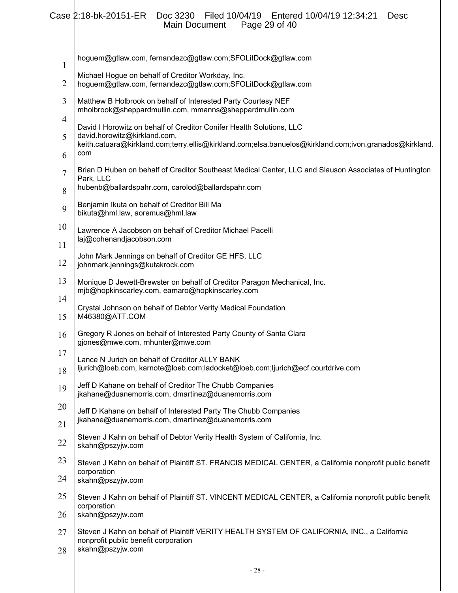# Case 2:18-bk-20151-ER Doc 3230 Filed 10/04/19 Entered 10/04/19 12:34:21 Desc Main Document Page 29 of 40

|                               | anı Dovununu<br>$1$ agu $20$ VI T                                                                                                         |
|-------------------------------|-------------------------------------------------------------------------------------------------------------------------------------------|
| $\mathbf{1}$                  | hoguem@gtlaw.com, fernandezc@gtlaw.com;SFOLitDock@gtlaw.com                                                                               |
| 2                             | Michael Hogue on behalf of Creditor Workday, Inc.<br>hoguem@gtlaw.com, fernandezc@gtlaw.com;SFOLitDock@gtlaw.com                          |
| 3<br>$\overline{\mathcal{A}}$ | Matthew B Holbrook on behalf of Interested Party Courtesy NEF<br>mholbrook@sheppardmullin.com, mmanns@sheppardmullin.com                  |
| 5                             | David I Horowitz on behalf of Creditor Conifer Health Solutions, LLC<br>david.horowitz@kirkland.com,                                      |
| 6                             | keith.catuara@kirkland.com;terry.ellis@kirkland.com;elsa.banuelos@kirkland.com;ivon.granados@kirkland.<br>com                             |
| 7                             | Brian D Huben on behalf of Creditor Southeast Medical Center, LLC and Slauson Associates of Huntington<br>Park, LLC                       |
| 8                             | hubenb@ballardspahr.com, carolod@ballardspahr.com                                                                                         |
| 9                             | Benjamin Ikuta on behalf of Creditor Bill Ma<br>bikuta@hml.law, aoremus@hml.law                                                           |
| 10                            | Lawrence A Jacobson on behalf of Creditor Michael Pacelli<br>laj@cohenandjacobson.com                                                     |
| 11                            | John Mark Jennings on behalf of Creditor GE HFS, LLC                                                                                      |
| 12                            | johnmark.jennings@kutakrock.com                                                                                                           |
| 13<br>14                      | Monique D Jewett-Brewster on behalf of Creditor Paragon Mechanical, Inc.<br>mjb@hopkinscarley.com, eamaro@hopkinscarley.com               |
| 15                            | Crystal Johnson on behalf of Debtor Verity Medical Foundation<br>M46380@ATT.COM                                                           |
| 16                            | Gregory R Jones on behalf of Interested Party County of Santa Clara<br>gjones@mwe.com, rnhunter@mwe.com                                   |
| 17<br>18                      | Lance N Jurich on behalf of Creditor ALLY BANK<br>ljurich@loeb.com, karnote@loeb.com;ladocket@loeb.com;ljurich@ecf.courtdrive.com         |
| 19                            | Jeff D Kahane on behalf of Creditor The Chubb Companies<br>jkahane@duanemorris.com, dmartinez@duanemorris.com                             |
| 20                            | Jeff D Kahane on behalf of Interested Party The Chubb Companies<br>jkahane@duanemorris.com, dmartinez@duanemorris.com                     |
| 21                            | Steven J Kahn on behalf of Debtor Verity Health System of California, Inc.                                                                |
| 22                            | skahn@pszyjw.com                                                                                                                          |
| 23<br>24                      | Steven J Kahn on behalf of Plaintiff ST. FRANCIS MEDICAL CENTER, a California nonprofit public benefit<br>corporation<br>skahn@pszyjw.com |
| 25                            | Steven J Kahn on behalf of Plaintiff ST. VINCENT MEDICAL CENTER, a California nonprofit public benefit                                    |
| 26                            | corporation<br>skahn@pszyjw.com                                                                                                           |
| 27                            | Steven J Kahn on behalf of Plaintiff VERITY HEALTH SYSTEM OF CALIFORNIA, INC., a California                                               |
| 28                            | nonprofit public benefit corporation<br>skahn@pszyjw.com                                                                                  |
|                               |                                                                                                                                           |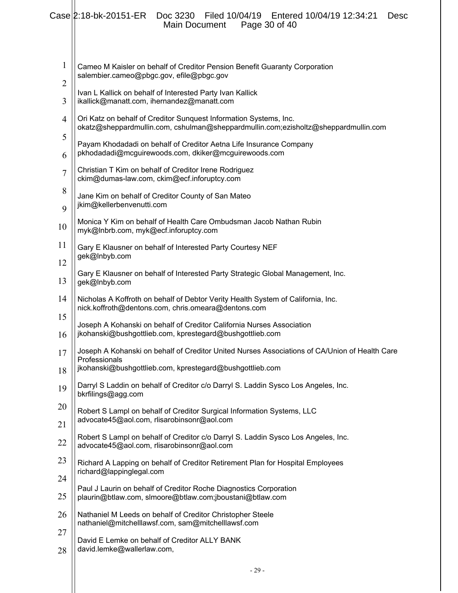|                | Case 2:18-bk-20151-ER<br>Filed 10/04/19    Entered 10/04/19    12:34:21<br>Doc 3230<br><b>Desc</b><br>Page 30 of 40<br>Main Document                    |
|----------------|---------------------------------------------------------------------------------------------------------------------------------------------------------|
| 1              |                                                                                                                                                         |
| 2              | Cameo M Kaisler on behalf of Creditor Pension Benefit Guaranty Corporation<br>salembier.cameo@pbgc.gov, efile@pbgc.gov                                  |
| 3              | Ivan L Kallick on behalf of Interested Party Ivan Kallick<br>ikallick@manatt.com, ihernandez@manatt.com                                                 |
| $\overline{4}$ | Ori Katz on behalf of Creditor Sunquest Information Systems, Inc.<br>okatz@sheppardmullin.com, cshulman@sheppardmullin.com;ezisholtz@sheppardmullin.com |
| 5<br>6         | Payam Khodadadi on behalf of Creditor Aetna Life Insurance Company<br>pkhodadadi@mcguirewoods.com, dkiker@mcguirewoods.com                              |
| $\overline{7}$ | Christian T Kim on behalf of Creditor Irene Rodriguez<br>ckim@dumas-law.com, ckim@ecf.inforuptcy.com                                                    |
| 8              | Jane Kim on behalf of Creditor County of San Mateo<br>jkim@kellerbenvenutti.com                                                                         |
| 9              |                                                                                                                                                         |
| 10             | Monica Y Kim on behalf of Health Care Ombudsman Jacob Nathan Rubin<br>myk@Inbrb.com, myk@ecf.inforuptcy.com                                             |
| 11             | Gary E Klausner on behalf of Interested Party Courtesy NEF<br>gek@Inbyb.com                                                                             |
| 12             |                                                                                                                                                         |
| 13             | Gary E Klausner on behalf of Interested Party Strategic Global Management, Inc.<br>gek@Inbyb.com                                                        |
| 14             | Nicholas A Koffroth on behalf of Debtor Verity Health System of California, Inc.<br>nick.koffroth@dentons.com, chris.omeara@dentons.com                 |
| 15<br>16       | Joseph A Kohanski on behalf of Creditor California Nurses Association<br>jkohanski@bushgottlieb.com, kprestegard@bushgottlieb.com                       |
| 17             | Joseph A Kohanski on behalf of Creditor United Nurses Associations of CA/Union of Health Care                                                           |
| 18             | Professionals<br>jkohanski@bushgottlieb.com, kprestegard@bushgottlieb.com                                                                               |
| 19             | Darryl S Laddin on behalf of Creditor c/o Darryl S. Laddin Sysco Los Angeles, Inc.<br>bkrfilings@agg.com                                                |
| 20             | Robert S Lampl on behalf of Creditor Surgical Information Systems, LLC                                                                                  |
| 21             | advocate45@aol.com, rlisarobinsonr@aol.com                                                                                                              |
| 22             | Robert S Lampl on behalf of Creditor c/o Darryl S. Laddin Sysco Los Angeles, Inc.<br>advocate45@aol.com, rlisarobinsonr@aol.com                         |
| 23             | Richard A Lapping on behalf of Creditor Retirement Plan for Hospital Employees                                                                          |
| 24             | richard@lappinglegal.com                                                                                                                                |
| 25             | Paul J Laurin on behalf of Creditor Roche Diagnostics Corporation<br>plaurin@btlaw.com, slmoore@btlaw.com;jboustani@btlaw.com                           |
| 26             | Nathaniel M Leeds on behalf of Creditor Christopher Steele                                                                                              |
| 27             | nathaniel@mitchelllawsf.com, sam@mitchelllawsf.com                                                                                                      |
| 28             | David E Lemke on behalf of Creditor ALLY BANK<br>david.lemke@wallerlaw.com,                                                                             |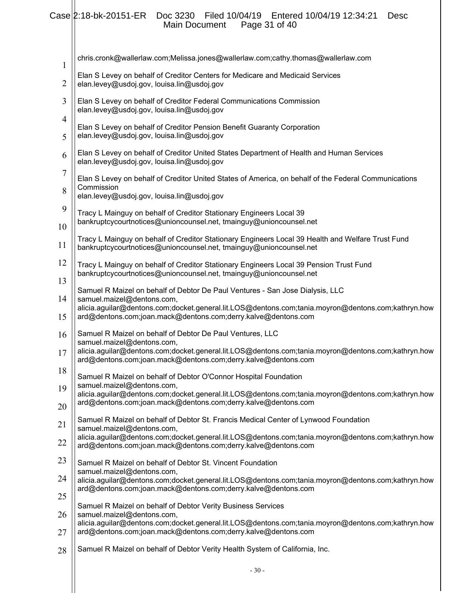# Case 2:18-bk-20151-ER Doc 3230 Filed 10/04/19 Entered 10/04/19 12:34:21 Desc Main Document Page 31 of 40

| $\mathbf{1}$        | chris.cronk@wallerlaw.com;Melissa.jones@wallerlaw.com;cathy.thomas@wallerlaw.com                                                                                                                                                                                                   |
|---------------------|------------------------------------------------------------------------------------------------------------------------------------------------------------------------------------------------------------------------------------------------------------------------------------|
| $\overline{2}$      | Elan S Levey on behalf of Creditor Centers for Medicare and Medicaid Services<br>elan.levey@usdoj.gov, louisa.lin@usdoj.gov                                                                                                                                                        |
| 3<br>$\overline{4}$ | Elan S Levey on behalf of Creditor Federal Communications Commission<br>elan.levey@usdoj.gov, louisa.lin@usdoj.gov                                                                                                                                                                 |
| 5                   | Elan S Levey on behalf of Creditor Pension Benefit Guaranty Corporation<br>elan.levey@usdoj.gov, louisa.lin@usdoj.gov                                                                                                                                                              |
| 6                   | Elan S Levey on behalf of Creditor United States Department of Health and Human Services<br>elan.levey@usdoj.gov, louisa.lin@usdoj.gov                                                                                                                                             |
| 7<br>8              | Elan S Levey on behalf of Creditor United States of America, on behalf of the Federal Communications<br>Commission<br>elan.levey@usdoj.gov, louisa.lin@usdoj.gov                                                                                                                   |
| 9<br>10             | Tracy L Mainguy on behalf of Creditor Stationary Engineers Local 39<br>bankruptcycourtnotices@unioncounsel.net, tmainguy@unioncounsel.net                                                                                                                                          |
| 11                  | Tracy L Mainguy on behalf of Creditor Stationary Engineers Local 39 Health and Welfare Trust Fund<br>bankruptcycourtnotices@unioncounsel.net, tmainguy@unioncounsel.net                                                                                                            |
| 12<br>13            | Tracy L Mainguy on behalf of Creditor Stationary Engineers Local 39 Pension Trust Fund<br>bankruptcycourtnotices@unioncounsel.net, tmainguy@unioncounsel.net                                                                                                                       |
| 14<br>15            | Samuel R Maizel on behalf of Debtor De Paul Ventures - San Jose Dialysis, LLC<br>samuel.maizel@dentons.com,<br>alicia.aguilar@dentons.com;docket.general.lit.LOS@dentons.com;tania.moyron@dentons.com;kathryn.how<br>ard@dentons.com;joan.mack@dentons.com;derry.kalve@dentons.com |
| 16<br>17            | Samuel R Maizel on behalf of Debtor De Paul Ventures, LLC<br>samuel.maizel@dentons.com,<br>alicia.aguilar@dentons.com;docket.general.lit.LOS@dentons.com;tania.moyron@dentons.com;kathryn.how<br>ard@dentons.com;joan.mack@dentons.com;derry.kalve@dentons.com                     |
| 18<br>19            | Samuel R Maizel on behalf of Debtor O'Connor Hospital Foundation<br>samuel.maizel@dentons.com,                                                                                                                                                                                     |
| 20                  | alicia.aguilar@dentons.com;docket.general.lit.LOS@dentons.com;tania.moyron@dentons.com;kathryn.how<br>ard@dentons.com;joan.mack@dentons.com;derry.kalve@dentons.com                                                                                                                |
| 21                  | Samuel R Maizel on behalf of Debtor St. Francis Medical Center of Lynwood Foundation<br>samuel.maizel@dentons.com,<br>alicia.aguilar@dentons.com;docket.general.lit.LOS@dentons.com;tania.moyron@dentons.com;kathryn.how                                                           |
| 22                  | ard@dentons.com;joan.mack@dentons.com;derry.kalve@dentons.com                                                                                                                                                                                                                      |
| 23<br>24            | Samuel R Maizel on behalf of Debtor St. Vincent Foundation<br>samuel.maizel@dentons.com,<br>alicia.aguilar@dentons.com;docket.general.lit.LOS@dentons.com;tania.moyron@dentons.com;kathryn.how                                                                                     |
| 25                  | ard@dentons.com;joan.mack@dentons.com;derry.kalve@dentons.com                                                                                                                                                                                                                      |
| 26                  | Samuel R Maizel on behalf of Debtor Verity Business Services<br>samuel.maizel@dentons.com,<br>alicia.aguilar@dentons.com;docket.general.lit.LOS@dentons.com;tania.moyron@dentons.com;kathryn.how                                                                                   |
| 27                  | ard@dentons.com;joan.mack@dentons.com;derry.kalve@dentons.com                                                                                                                                                                                                                      |
| 28                  | Samuel R Maizel on behalf of Debtor Verity Health System of California, Inc.                                                                                                                                                                                                       |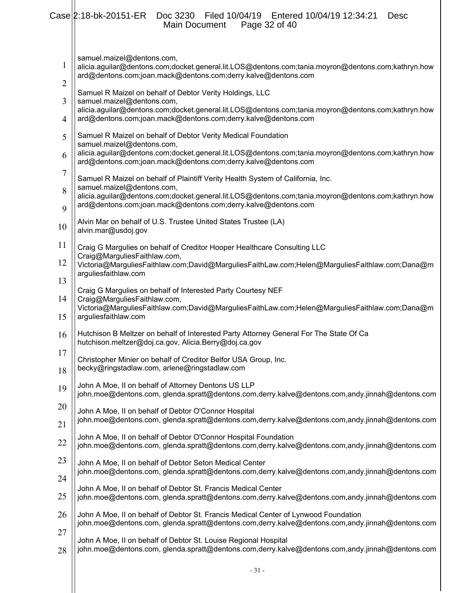|                | Case 2:18-bk-20151-ER<br>Doc 3230 Filed 10/04/19 Entered 10/04/19 12:34:21<br><b>Desc</b><br>Page 32 of 40<br>Main Document                                                                       |
|----------------|---------------------------------------------------------------------------------------------------------------------------------------------------------------------------------------------------|
| 1              | samuel.maizel@dentons.com,<br>alicia.aguilar@dentons.com;docket.general.lit.LOS@dentons.com;tania.moyron@dentons.com;kathryn.how<br>ard@dentons.com;joan.mack@dentons.com;derry.kalve@dentons.com |
| $\overline{2}$ | Samuel R Maizel on behalf of Debtor Verity Holdings, LLC                                                                                                                                          |
| 3              | samuel.maizel@dentons.com,<br>alicia.aguilar@dentons.com;docket.general.lit.LOS@dentons.com;tania.moyron@dentons.com;kathryn.how                                                                  |
| 4              | ard@dentons.com;joan.mack@dentons.com;derry.kalve@dentons.com                                                                                                                                     |
| 5              | Samuel R Maizel on behalf of Debtor Verity Medical Foundation<br>samuel.maizel@dentons.com,                                                                                                       |
| 6              | alicia.aguilar@dentons.com;docket.general.lit.LOS@dentons.com;tania.moyron@dentons.com;kathryn.how<br>ard@dentons.com;joan.mack@dentons.com;derry.kalve@dentons.com                               |
| 7              | Samuel R Maizel on behalf of Plaintiff Verity Health System of California, Inc.                                                                                                                   |
| 8<br>9         | samuel.maizel@dentons.com,<br>alicia.aguilar@dentons.com;docket.general.lit.LOS@dentons.com;tania.moyron@dentons.com;kathryn.how<br>ard@dentons.com;joan.mack@dentons.com;derry.kalve@dentons.com |
| 10             | Alvin Mar on behalf of U.S. Trustee United States Trustee (LA)<br>alvin.mar@usdoj.gov                                                                                                             |
| 11             | Craig G Margulies on behalf of Creditor Hooper Healthcare Consulting LLC                                                                                                                          |
| 12             | Craig@MarguliesFaithlaw.com,<br>Victoria@MarguliesFaithlaw.com;David@MarguliesFaithLaw.com;Helen@MarguliesFaithlaw.com;Dana@m<br>arguliesfaithlaw.com                                             |
| 13             | Craig G Margulies on behalf of Interested Party Courtesy NEF                                                                                                                                      |
| 14<br>15       | Craig@MarguliesFaithlaw.com,<br>Victoria@MarguliesFaithlaw.com;David@MarguliesFaithLaw.com;Helen@MarguliesFaithlaw.com;Dana@m<br>arguliesfaithlaw.com                                             |
| 16             | Hutchison B Meltzer on behalf of Interested Party Attorney General For The State Of Ca<br>hutchison.meltzer@doj.ca.gov, Alicia.Berry@doj.ca.gov                                                   |
| 17             | Christopher Minier on behalf of Creditor Belfor USA Group, Inc.                                                                                                                                   |
| 18             | becky@ringstadlaw.com, arlene@ringstadlaw.com                                                                                                                                                     |
| 19             | John A Moe, II on behalf of Attorney Dentons US LLP<br>john.moe@dentons.com, glenda.spratt@dentons.com,derry.kalve@dentons.com,andy.jinnah@dentons.com                                            |
| 20             | John A Moe, II on behalf of Debtor O'Connor Hospital                                                                                                                                              |
| 21             | john.moe@dentons.com, glenda.spratt@dentons.com,derry.kalve@dentons.com,andy.jinnah@dentons.com                                                                                                   |
| 22             | John A Moe, II on behalf of Debtor O'Connor Hospital Foundation<br>john.moe@dentons.com, glenda.spratt@dentons.com,derry.kalve@dentons.com,andy.jinnah@dentons.com                                |
| 23             | John A Moe, II on behalf of Debtor Seton Medical Center                                                                                                                                           |
| 24             | john.moe@dentons.com, glenda.spratt@dentons.com,derry.kalve@dentons.com,andy.jinnah@dentons.com                                                                                                   |
| 25             | John A Moe, II on behalf of Debtor St. Francis Medical Center<br>john.moe@dentons.com, glenda.spratt@dentons.com,derry.kalve@dentons.com,andy.jinnah@dentons.com                                  |
| 26             | John A Moe, II on behalf of Debtor St. Francis Medical Center of Lynwood Foundation<br>john.moe@dentons.com, glenda.spratt@dentons.com,derry.kalve@dentons.com,andy.jinnah@dentons.com            |
| 27             | John A Moe, II on behalf of Debtor St. Louise Regional Hospital                                                                                                                                   |
| 28             | john.moe@dentons.com, glenda.spratt@dentons.com,derry.kalve@dentons.com,andy.jinnah@dentons.com                                                                                                   |
|                | $-31-$                                                                                                                                                                                            |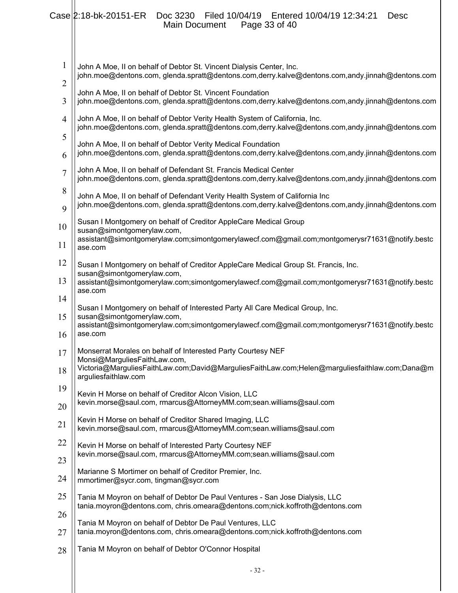|                     | Case 2:18-bk-20151-ER<br>Doc 3230 Filed 10/04/19 Entered 10/04/19 12:34:21<br><b>Desc</b><br>Page 33 of 40<br>Main Document                                                     |
|---------------------|---------------------------------------------------------------------------------------------------------------------------------------------------------------------------------|
| 1<br>$\overline{2}$ | John A Moe, II on behalf of Debtor St. Vincent Dialysis Center, Inc.<br>john.moe@dentons.com, glenda.spratt@dentons.com,derry.kalve@dentons.com,andy.jinnah@dentons.com         |
| 3                   | John A Moe, II on behalf of Debtor St. Vincent Foundation<br>john.moe@dentons.com, glenda.spratt@dentons.com,derry.kalve@dentons.com,andy.jinnah@dentons.com                    |
| $\overline{4}$      | John A Moe, II on behalf of Debtor Verity Health System of California, Inc.<br>john.moe@dentons.com, glenda.spratt@dentons.com,derry.kalve@dentons.com,andy.jinnah@dentons.com  |
| 5<br>6              | John A Moe, II on behalf of Debtor Verity Medical Foundation<br>john.moe@dentons.com, glenda.spratt@dentons.com,derry.kalve@dentons.com,andy.jinnah@dentons.com                 |
| 7                   | John A Moe, II on behalf of Defendant St. Francis Medical Center<br>john.moe@dentons.com, glenda.spratt@dentons.com,derry.kalve@dentons.com,andy.jinnah@dentons.com             |
| 8<br>9              | John A Moe, II on behalf of Defendant Verity Health System of California Inc<br>john.moe@dentons.com, glenda.spratt@dentons.com,derry.kalve@dentons.com,andy.jinnah@dentons.com |
| 10                  | Susan I Montgomery on behalf of Creditor AppleCare Medical Group<br>susan@simontgomerylaw.com,                                                                                  |
| 11                  | assistant@simontgomerylaw.com;simontgomerylawecf.com@gmail.com;montgomerysr71631@notify.bestc<br>ase.com                                                                        |
| 12<br>13            | Susan I Montgomery on behalf of Creditor AppleCare Medical Group St. Francis, Inc.<br>susan@simontgomerylaw.com,                                                                |
| 14                  | assistant@simontgomerylaw.com;simontgomerylawecf.com@gmail.com;montgomerysr71631@notify.bestc<br>ase.com                                                                        |
| 15                  | Susan I Montgomery on behalf of Interested Party All Care Medical Group, Inc.<br>susan@simontgomerylaw.com,                                                                     |
| 16                  | assistant@simontgomerylaw.com;simontgomerylawecf.com@gmail.com;montgomerysr71631@notify.bestc<br>ase.com                                                                        |
| 17                  | Monserrat Morales on behalf of Interested Party Courtesy NEF<br>Monsi@MarguliesFaithLaw.com,                                                                                    |
| 18                  | Victoria@MarguliesFaithLaw.com;David@MarguliesFaithLaw.com;Helen@marguliesfaithlaw.com;Dana@m<br>arguliesfaithlaw.com                                                           |
| 19<br>20            | Kevin H Morse on behalf of Creditor Alcon Vision, LLC<br>kevin.morse@saul.com, rmarcus@AttorneyMM.com;sean.williams@saul.com                                                    |
| 21                  | Kevin H Morse on behalf of Creditor Shared Imaging, LLC<br>kevin.morse@saul.com, rmarcus@AttorneyMM.com;sean.williams@saul.com                                                  |
| 22                  | Kevin H Morse on behalf of Interested Party Courtesy NEF<br>kevin.morse@saul.com, rmarcus@AttorneyMM.com;sean.williams@saul.com                                                 |
| 23                  | Marianne S Mortimer on behalf of Creditor Premier, Inc.                                                                                                                         |
| 24                  | mmortimer@sycr.com, tingman@sycr.com                                                                                                                                            |
| 25<br>26            | Tania M Moyron on behalf of Debtor De Paul Ventures - San Jose Dialysis, LLC<br>tania.moyron@dentons.com, chris.omeara@dentons.com;nick.koffroth@dentons.com                    |
| 27                  | Tania M Moyron on behalf of Debtor De Paul Ventures, LLC<br>tania.moyron@dentons.com, chris.omeara@dentons.com;nick.koffroth@dentons.com                                        |
| 28                  | Tania M Moyron on behalf of Debtor O'Connor Hospital                                                                                                                            |
|                     | $-32-$                                                                                                                                                                          |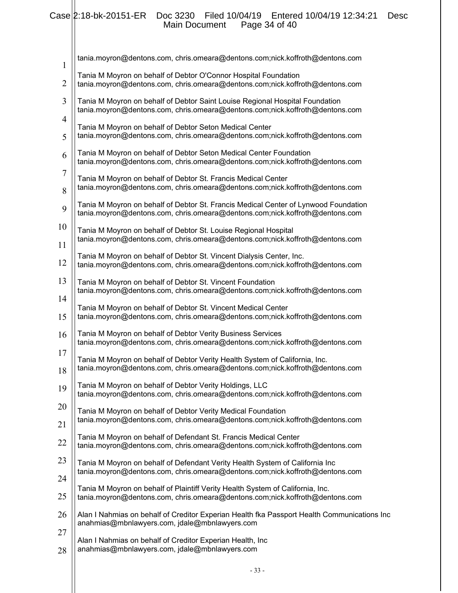#### Case 2:18-bk-20151-ER Doc 3230 Filed 10/04/19 Entered 10/04/19 12:34:21 Desc Main Document Page 34 of 40

| $\mathbf{1}$ | tania.moyron@dentons.com, chris.omeara@dentons.com;nick.koffroth@dentons.com                                                                                        |
|--------------|---------------------------------------------------------------------------------------------------------------------------------------------------------------------|
| 2            | Tania M Moyron on behalf of Debtor O'Connor Hospital Foundation<br>tania.moyron@dentons.com, chris.omeara@dentons.com;nick.koffroth@dentons.com                     |
| 3            | Tania M Moyron on behalf of Debtor Saint Louise Regional Hospital Foundation<br>tania.moyron@dentons.com, chris.omeara@dentons.com;nick.koffroth@dentons.com        |
| 4<br>5       | Tania M Moyron on behalf of Debtor Seton Medical Center<br>tania.moyron@dentons.com, chris.omeara@dentons.com;nick.koffroth@dentons.com                             |
| 6            | Tania M Moyron on behalf of Debtor Seton Medical Center Foundation<br>tania.moyron@dentons.com, chris.omeara@dentons.com;nick.koffroth@dentons.com                  |
| 7<br>8       | Tania M Moyron on behalf of Debtor St. Francis Medical Center<br>tania.moyron@dentons.com, chris.omeara@dentons.com;nick.koffroth@dentons.com                       |
| 9            | Tania M Moyron on behalf of Debtor St. Francis Medical Center of Lynwood Foundation<br>tania.moyron@dentons.com, chris.omeara@dentons.com;nick.koffroth@dentons.com |
| 10           | Tania M Moyron on behalf of Debtor St. Louise Regional Hospital<br>tania.moyron@dentons.com, chris.omeara@dentons.com;nick.koffroth@dentons.com                     |
| 11<br>12     | Tania M Moyron on behalf of Debtor St. Vincent Dialysis Center, Inc.<br>tania.moyron@dentons.com, chris.omeara@dentons.com;nick.koffroth@dentons.com                |
| 13<br>14     | Tania M Moyron on behalf of Debtor St. Vincent Foundation<br>tania.moyron@dentons.com, chris.omeara@dentons.com;nick.koffroth@dentons.com                           |
| 15           | Tania M Moyron on behalf of Debtor St. Vincent Medical Center<br>tania.moyron@dentons.com, chris.omeara@dentons.com;nick.koffroth@dentons.com                       |
| 16           | Tania M Moyron on behalf of Debtor Verity Business Services<br>tania.moyron@dentons.com, chris.omeara@dentons.com;nick.koffroth@dentons.com                         |
| 17<br>18     | Tania M Moyron on behalf of Debtor Verity Health System of California, Inc.<br>tania.moyron@dentons.com, chris.omeara@dentons.com;nick.koffroth@dentons.com         |
| 19           | Tania M Moyron on behalf of Debtor Verity Holdings, LLC<br>tania.moyron@dentons.com, chris.omeara@dentons.com;nick.koffroth@dentons.com                             |
| 20<br>21     | Tania M Moyron on behalf of Debtor Verity Medical Foundation<br>tania.moyron@dentons.com, chris.omeara@dentons.com;nick.koffroth@dentons.com                        |
| 22           | Tania M Moyron on behalf of Defendant St. Francis Medical Center<br>tania.moyron@dentons.com, chris.omeara@dentons.com;nick.koffroth@dentons.com                    |
| 23           | Tania M Moyron on behalf of Defendant Verity Health System of California Inc<br>tania.moyron@dentons.com, chris.omeara@dentons.com;nick.koffroth@dentons.com        |
| 24<br>25     | Tania M Moyron on behalf of Plaintiff Verity Health System of California, Inc.<br>tania.moyron@dentons.com, chris.omeara@dentons.com;nick.koffroth@dentons.com      |
| 26           | Alan I Nahmias on behalf of Creditor Experian Health fka Passport Health Communications Inc<br>anahmias@mbnlawyers.com, jdale@mbnlawyers.com                        |
| 27           | Alan I Nahmias on behalf of Creditor Experian Health, Inc<br>anahmias@mbnlawyers.com, jdale@mbnlawyers.com                                                          |
| 28           |                                                                                                                                                                     |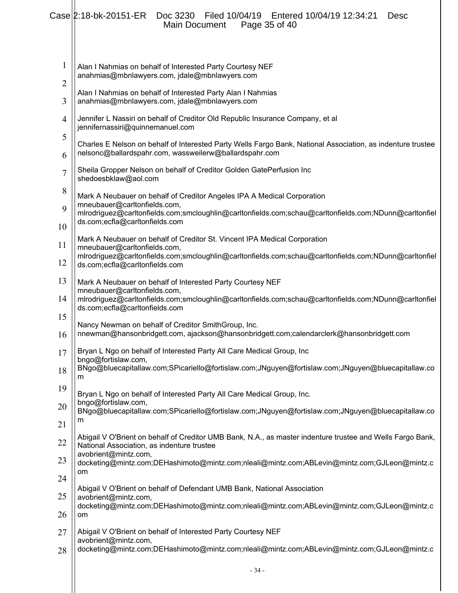|                                | Case 2:18-bk-20151-ER    Doc 3230<br>Filed 10/04/19   Entered 10/04/19   12:34:21<br><b>Desc</b><br>Page 35 of 40<br><b>Main Document</b>                               |
|--------------------------------|-------------------------------------------------------------------------------------------------------------------------------------------------------------------------|
| $\mathbf{1}$<br>$\overline{2}$ | Alan I Nahmias on behalf of Interested Party Courtesy NEF<br>anahmias@mbnlawyers.com, jdale@mbnlawyers.com                                                              |
| 3                              | Alan I Nahmias on behalf of Interested Party Alan I Nahmias<br>anahmias@mbnlawyers.com, jdale@mbnlawyers.com                                                            |
| $\overline{4}$                 | Jennifer L Nassiri on behalf of Creditor Old Republic Insurance Company, et al<br>jennifernassiri@quinnemanuel.com                                                      |
| 5                              | Charles E Nelson on behalf of Interested Party Wells Fargo Bank, National Association, as indenture trustee<br>nelsonc@ballardspahr.com, wassweilerw@ballardspahr.com   |
| 6                              |                                                                                                                                                                         |
| $\overline{7}$                 | Sheila Gropper Nelson on behalf of Creditor Golden GatePerfusion Inc<br>shedoesbklaw@aol.com                                                                            |
| 8                              | Mark A Neubauer on behalf of Creditor Angeles IPA A Medical Corporation<br>mneubauer@carltonfields.com,                                                                 |
| 9<br>10                        | mlrodriguez@carltonfields.com;smcloughlin@carltonfields.com;schau@carltonfields.com;NDunn@carltonfiel<br>ds.com;ecfla@carltonfields.com                                 |
| 11                             | Mark A Neubauer on behalf of Creditor St. Vincent IPA Medical Corporation<br>mneubauer@carltonfields.com,                                                               |
| 12                             | mlrodriguez@carltonfields.com;smcloughlin@carltonfields.com;schau@carltonfields.com;NDunn@carltonfiel<br>ds.com;ecfla@carltonfields.com                                 |
| 13                             | Mark A Neubauer on behalf of Interested Party Courtesy NEF                                                                                                              |
| 14                             | mneubauer@carltonfields.com,<br>mlrodriguez@carltonfields.com;smcloughlin@carltonfields.com;schau@carltonfields.com;NDunn@carltonfiel<br>ds.com;ecfla@carltonfields.com |
| 15<br>16                       | Nancy Newman on behalf of Creditor SmithGroup, Inc.<br>nnewman@hansonbridgett.com, ajackson@hansonbridgett.com;calendarclerk@hansonbridgett.com                         |
| 17                             | Bryan L Ngo on behalf of Interested Party All Care Medical Group, Inc<br>bngo@fortislaw.com,                                                                            |
| 18                             | BNgo@bluecapitallaw.com;SPicariello@fortislaw.com;JNguyen@fortislaw.com;JNguyen@bluecapitallaw.co<br>m                                                                  |
| 19                             | Bryan L Ngo on behalf of Interested Party All Care Medical Group, Inc.                                                                                                  |
| 20                             | bngo@fortislaw.com,<br>BNgo@bluecapitallaw.com;SPicariello@fortislaw.com;JNguyen@fortislaw.com;JNguyen@bluecapitallaw.co                                                |
| 21                             | m                                                                                                                                                                       |
| 22                             | Abigail V O'Brient on behalf of Creditor UMB Bank, N.A., as master indenture trustee and Wells Fargo Bank,<br>National Association, as indenture trustee                |
| 23                             | avobrient@mintz.com,<br>docketing@mintz.com;DEHashimoto@mintz.com;nleali@mintz.com;ABLevin@mintz.com;GJLeon@mintz.c<br>om                                               |
| 24                             |                                                                                                                                                                         |
| 25                             | Abigail V O'Brient on behalf of Defendant UMB Bank, National Association<br>avobrient@mintz.com,                                                                        |
| 26                             | docketing@mintz.com;DEHashimoto@mintz.com;nleali@mintz.com;ABLevin@mintz.com;GJLeon@mintz.c<br>om                                                                       |
| 27                             | Abigail V O'Brient on behalf of Interested Party Courtesy NEF                                                                                                           |
| 28                             | avobrient@mintz.com,<br>docketing@mintz.com;DEHashimoto@mintz.com;nleali@mintz.com;ABLevin@mintz.com;GJLeon@mintz.c                                                     |
|                                | $-34-$                                                                                                                                                                  |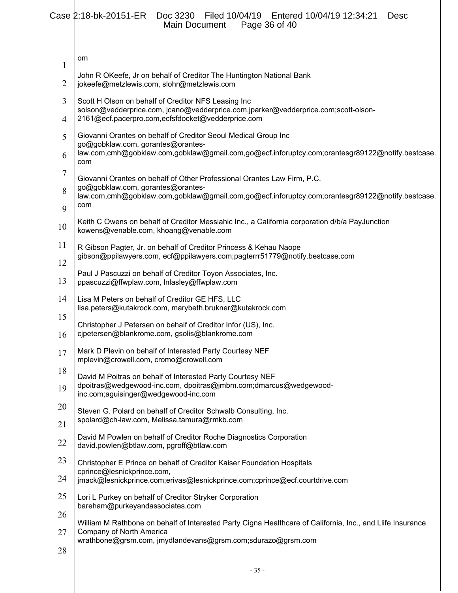# Case 2:18-bk-20151-ER Doc 3230 Filed 10/04/19 Entered 10/04/19 12:34:21 Desc Main Document Page 36 of 40

| $\mathbf{1}$     | om                                                                                                                                                                                                                     |
|------------------|------------------------------------------------------------------------------------------------------------------------------------------------------------------------------------------------------------------------|
| $\overline{2}$   | John R OKeefe, Jr on behalf of Creditor The Huntington National Bank<br>jokeefe@metzlewis.com, slohr@metzlewis.com                                                                                                     |
| 3<br>4           | Scott H Olson on behalf of Creditor NFS Leasing Inc<br>solson@vedderprice.com, jcano@vedderprice.com,jparker@vedderprice.com;scott-olson-<br>2161@ecf.pacerpro.com,ecfsfdocket@vedderprice.com                         |
| 5<br>6           | Giovanni Orantes on behalf of Creditor Seoul Medical Group Inc<br>go@gobklaw.com, gorantes@orantes-<br>law.com,cmh@gobklaw.com,gobklaw@gmail.com,go@ecf.inforuptcy.com;orantesgr89122@notify.bestcase.<br>com          |
| $\tau$<br>8<br>9 | Giovanni Orantes on behalf of Other Professional Orantes Law Firm, P.C.<br>go@gobklaw.com, gorantes@orantes-<br>law.com,cmh@gobklaw.com,gobklaw@gmail.com,go@ecf.inforuptcy.com;orantesgr89122@notify.bestcase.<br>com |
| 10               | Keith C Owens on behalf of Creditor Messiahic Inc., a California corporation d/b/a PayJunction<br>kowens@venable.com, khoang@venable.com                                                                               |
| 11<br>12         | R Gibson Pagter, Jr. on behalf of Creditor Princess & Kehau Naope<br>gibson@ppilawyers.com, ecf@ppilawyers.com;pagterrr51779@notify.bestcase.com                                                                       |
| 13               | Paul J Pascuzzi on behalf of Creditor Toyon Associates, Inc.<br>ppascuzzi@ffwplaw.com, Inlasley@ffwplaw.com                                                                                                            |
| 14<br>15         | Lisa M Peters on behalf of Creditor GE HFS, LLC<br>lisa.peters@kutakrock.com, marybeth.brukner@kutakrock.com                                                                                                           |
| 16               | Christopher J Petersen on behalf of Creditor Infor (US), Inc.<br>cipetersen@blankrome.com, gsolis@blankrome.com                                                                                                        |
| 17               | Mark D Plevin on behalf of Interested Party Courtesy NEF<br>mplevin@crowell.com, cromo@crowell.com                                                                                                                     |
| 18<br>19         | David M Poitras on behalf of Interested Party Courtesy NEF<br>dpoitras@wedgewood-inc.com, dpoitras@jmbm.com;dmarcus@wedgewood-<br>inc.com;aguisinger@wedgewood-inc.com                                                 |
| 20<br>21         | Steven G. Polard on behalf of Creditor Schwalb Consulting, Inc.<br>spolard@ch-law.com, Melissa.tamura@rmkb.com                                                                                                         |
| 22               | David M Powlen on behalf of Creditor Roche Diagnostics Corporation<br>david.powlen@btlaw.com, pgroff@btlaw.com                                                                                                         |
| 23               | Christopher E Prince on behalf of Creditor Kaiser Foundation Hospitals<br>cprince@lesnickprince.com,                                                                                                                   |
| 24<br>25         | jmack@lesnickprince.com;erivas@lesnickprince.com;cprince@ecf.courtdrive.com                                                                                                                                            |
| 26               | Lori L Purkey on behalf of Creditor Stryker Corporation<br>bareham@purkeyandassociates.com                                                                                                                             |
| 27               | William M Rathbone on behalf of Interested Party Cigna Healthcare of California, Inc., and Llife Insurance<br>Company of North America                                                                                 |
| 28               | wrathbone@grsm.com, jmydlandevans@grsm.com;sdurazo@grsm.com                                                                                                                                                            |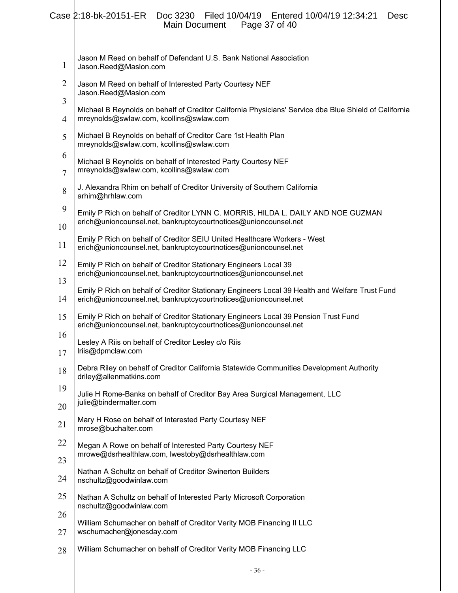|                | Case 2:18-bk-20151-ER<br>Doc 3230 Filed 10/04/19 Entered 10/04/19 12:34:21<br><b>Desc</b><br>Page 37 of 40<br>Main Document                                       |
|----------------|-------------------------------------------------------------------------------------------------------------------------------------------------------------------|
| 1              | Jason M Reed on behalf of Defendant U.S. Bank National Association<br>Jason.Reed@Maslon.com                                                                       |
| $\overline{2}$ | Jason M Reed on behalf of Interested Party Courtesy NEF<br>Jason.Reed@Maslon.com                                                                                  |
| 3<br>4         | Michael B Reynolds on behalf of Creditor California Physicians' Service dba Blue Shield of California<br>mreynolds@swlaw.com, kcollins@swlaw.com                  |
| 5              | Michael B Reynolds on behalf of Creditor Care 1st Health Plan                                                                                                     |
| 6              | mreynolds@swlaw.com, kcollins@swlaw.com                                                                                                                           |
| $\overline{7}$ | Michael B Reynolds on behalf of Interested Party Courtesy NEF<br>mreynolds@swlaw.com, kcollins@swlaw.com                                                          |
| 8              | J. Alexandra Rhim on behalf of Creditor University of Southern California<br>arhim@hrhlaw.com                                                                     |
| 9              | Emily P Rich on behalf of Creditor LYNN C. MORRIS, HILDA L. DAILY AND NOE GUZMAN<br>erich@unioncounsel.net, bankruptcycourtnotices@unioncounsel.net               |
| 10             | Emily P Rich on behalf of Creditor SEIU United Healthcare Workers - West                                                                                          |
| 11             | erich@unioncounsel.net, bankruptcycourtnotices@unioncounsel.net                                                                                                   |
| 12             | Emily P Rich on behalf of Creditor Stationary Engineers Local 39<br>erich@unioncounsel.net, bankruptcycourtnotices@unioncounsel.net                               |
| 13<br>14       | Emily P Rich on behalf of Creditor Stationary Engineers Local 39 Health and Welfare Trust Fund<br>erich@unioncounsel.net, bankruptcycourtnotices@unioncounsel.net |
| 15             | Emily P Rich on behalf of Creditor Stationary Engineers Local 39 Pension Trust Fund<br>erich@unioncounsel.net, bankruptcycourtnotices@unioncounsel.net            |
| 16<br>17       | Lesley A Riis on behalf of Creditor Lesley c/o Riis<br>Iriis@dpmclaw.com                                                                                          |
| 18             | Debra Riley on behalf of Creditor California Statewide Communities Development Authority<br>driley@allenmatkins.com                                               |
| 19<br>20       | Julie H Rome-Banks on behalf of Creditor Bay Area Surgical Management, LLC<br>julie@bindermalter.com                                                              |
| 21             | Mary H Rose on behalf of Interested Party Courtesy NEF<br>mrose@buchalter.com                                                                                     |
| 22             | Megan A Rowe on behalf of Interested Party Courtesy NEF                                                                                                           |
| 23             | mrowe@dsrhealthlaw.com, lwestoby@dsrhealthlaw.com                                                                                                                 |
| 24             | Nathan A Schultz on behalf of Creditor Swinerton Builders<br>nschultz@goodwinlaw.com                                                                              |
| 25             | Nathan A Schultz on behalf of Interested Party Microsoft Corporation<br>nschultz@goodwinlaw.com                                                                   |
| 26<br>27       | William Schumacher on behalf of Creditor Verity MOB Financing II LLC<br>wschumacher@jonesday.com                                                                  |
|                | William Schumacher on behalf of Creditor Verity MOB Financing LLC                                                                                                 |
| 28             |                                                                                                                                                                   |
|                | $-36-$                                                                                                                                                            |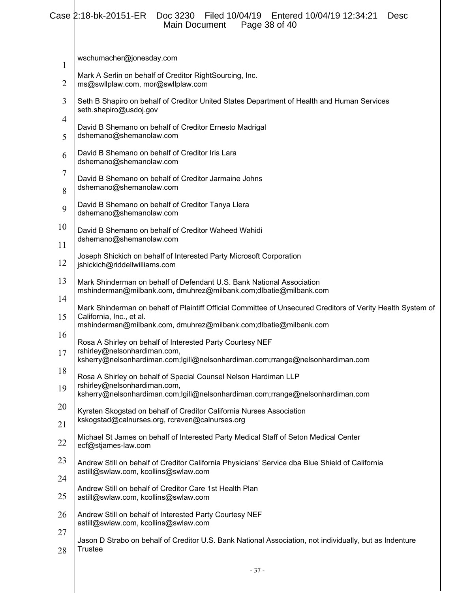# Case 2:18-bk-20151-ER Doc 3230 Filed 10/04/19 Entered 10/04/19 12:34:21 Desc Main Document Page 38 of 40

|                | Malli Docurrent<br>Paye 50 UP 40                                                                                                                                           |
|----------------|----------------------------------------------------------------------------------------------------------------------------------------------------------------------------|
| 1              | wschumacher@jonesday.com                                                                                                                                                   |
| $\overline{2}$ | Mark A Serlin on behalf of Creditor RightSourcing, Inc.<br>ms@swllplaw.com, mor@swllplaw.com                                                                               |
| 3              | Seth B Shapiro on behalf of Creditor United States Department of Health and Human Services<br>seth.shapiro@usdoj.gov                                                       |
| 4              | David B Shemano on behalf of Creditor Ernesto Madrigal<br>dshemano@shemanolaw.com                                                                                          |
| 5<br>6         | David B Shemano on behalf of Creditor Iris Lara                                                                                                                            |
| 7              | dshemano@shemanolaw.com                                                                                                                                                    |
| 8              | David B Shemano on behalf of Creditor Jarmaine Johns<br>dshemano@shemanolaw.com                                                                                            |
| 9              | David B Shemano on behalf of Creditor Tanya Llera<br>dshemano@shemanolaw.com                                                                                               |
| 10<br>11       | David B Shemano on behalf of Creditor Waheed Wahidi<br>dshemano@shemanolaw.com                                                                                             |
| 12             | Joseph Shickich on behalf of Interested Party Microsoft Corporation<br>jshickich@riddellwilliams.com                                                                       |
| 13             | Mark Shinderman on behalf of Defendant U.S. Bank National Association<br>mshinderman@milbank.com, dmuhrez@milbank.com;dlbatie@milbank.com                                  |
| 14<br>15       | Mark Shinderman on behalf of Plaintiff Official Committee of Unsecured Creditors of Verity Health System of<br>California, Inc., et al.                                    |
| 16             | mshinderman@milbank.com, dmuhrez@milbank.com;dlbatie@milbank.com                                                                                                           |
| 17             | Rosa A Shirley on behalf of Interested Party Courtesy NEF<br>rshirley@nelsonhardiman.com,<br>ksherry@nelsonhardiman.com;lgill@nelsonhardiman.com;rrange@nelsonhardiman.com |
| 18             | Rosa A Shirley on behalf of Special Counsel Nelson Hardiman LLP                                                                                                            |
| 19             | rshirley@nelsonhardiman.com,<br>ksherry@nelsonhardiman.com;lgill@nelsonhardiman.com;rrange@nelsonhardiman.com                                                              |
| 20<br>21       | Kyrsten Skogstad on behalf of Creditor California Nurses Association<br>kskogstad@calnurses.org, rcraven@calnurses.org                                                     |
| 22             | Michael St James on behalf of Interested Party Medical Staff of Seton Medical Center<br>ecf@stjames-law.com                                                                |
| 23             | Andrew Still on behalf of Creditor California Physicians' Service dba Blue Shield of California                                                                            |
| 24             | astill@swlaw.com, kcollins@swlaw.com                                                                                                                                       |
| 25             | Andrew Still on behalf of Creditor Care 1st Health Plan<br>astill@swlaw.com, kcollins@swlaw.com                                                                            |
| 26             | Andrew Still on behalf of Interested Party Courtesy NEF<br>astill@swlaw.com, kcollins@swlaw.com                                                                            |
| 27             | Jason D Strabo on behalf of Creditor U.S. Bank National Association, not individually, but as Indenture                                                                    |
| 28             | <b>Trustee</b>                                                                                                                                                             |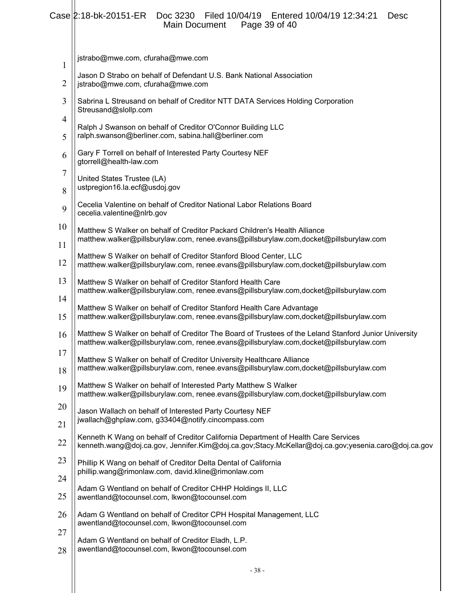#### Case 2:18-bk-20151-ER Doc 3230 Filed 10/04/19 Entered 10/04/19 12:34:21 Desc Main Document Page 39 of 40

| 1        | jstrabo@mwe.com, cfuraha@mwe.com                                                                                                                                                               |
|----------|------------------------------------------------------------------------------------------------------------------------------------------------------------------------------------------------|
| 2        | Jason D Strabo on behalf of Defendant U.S. Bank National Association<br>jstrabo@mwe.com, cfuraha@mwe.com                                                                                       |
| 3        | Sabrina L Streusand on behalf of Creditor NTT DATA Services Holding Corporation<br>Streusand@slollp.com                                                                                        |
| 4<br>5   | Ralph J Swanson on behalf of Creditor O'Connor Building LLC<br>ralph.swanson@berliner.com, sabina.hall@berliner.com                                                                            |
| 6        | Gary F Torrell on behalf of Interested Party Courtesy NEF<br>gtorrell@health-law.com                                                                                                           |
| 7<br>8   | United States Trustee (LA)<br>ustpregion16.la.ecf@usdoj.gov                                                                                                                                    |
| 9        | Cecelia Valentine on behalf of Creditor National Labor Relations Board<br>cecelia.valentine@nlrb.gov                                                                                           |
| 10       | Matthew S Walker on behalf of Creditor Packard Children's Health Alliance<br>matthew.walker@pillsburylaw.com, renee.evans@pillsburylaw.com,docket@pillsburylaw.com                             |
| 11<br>12 | Matthew S Walker on behalf of Creditor Stanford Blood Center, LLC<br>matthew.walker@pillsburylaw.com, renee.evans@pillsburylaw.com,docket@pillsburylaw.com                                     |
| 13       | Matthew S Walker on behalf of Creditor Stanford Health Care<br>matthew.walker@pillsburylaw.com, renee.evans@pillsburylaw.com,docket@pillsburylaw.com                                           |
| 14<br>15 | Matthew S Walker on behalf of Creditor Stanford Health Care Advantage<br>matthew.walker@pillsburylaw.com, renee.evans@pillsburylaw.com,docket@pillsburylaw.com                                 |
| 16       | Matthew S Walker on behalf of Creditor The Board of Trustees of the Leland Stanford Junior University<br>matthew.walker@pillsburylaw.com, renee.evans@pillsburylaw.com,docket@pillsburylaw.com |
| 17<br>18 | Matthew S Walker on behalf of Creditor University Healthcare Alliance<br>matthew.walker@pillsburylaw.com, renee.evans@pillsburylaw.com,docket@pillsburylaw.com                                 |
| 19       | Matthew S Walker on behalf of Interested Party Matthew S Walker<br>matthew.walker@pillsburylaw.com, renee.evans@pillsburylaw.com,docket@pillsburylaw.com                                       |
| 20       | Jason Wallach on behalf of Interested Party Courtesy NEF<br>jwallach@ghplaw.com, g33404@notify.cincompass.com                                                                                  |
| 21<br>22 | Kenneth K Wang on behalf of Creditor California Department of Health Care Services<br>kenneth.wang@doj.ca.gov, Jennifer.Kim@doj.ca.gov;Stacy.McKellar@doj.ca.gov;yesenia.caro@doj.ca.gov       |
| 23       | Phillip K Wang on behalf of Creditor Delta Dental of California<br>phillip.wang@rimonlaw.com, david.kline@rimonlaw.com                                                                         |
| 24<br>25 | Adam G Wentland on behalf of Creditor CHHP Holdings II, LLC<br>awentland@tocounsel.com, lkwon@tocounsel.com                                                                                    |
| 26       | Adam G Wentland on behalf of Creditor CPH Hospital Management, LLC<br>awentland@tocounsel.com, lkwon@tocounsel.com                                                                             |
| 27       | Adam G Wentland on behalf of Creditor Eladh, L.P.<br>awentland@tocounsel.com, lkwon@tocounsel.com                                                                                              |
| 28       |                                                                                                                                                                                                |